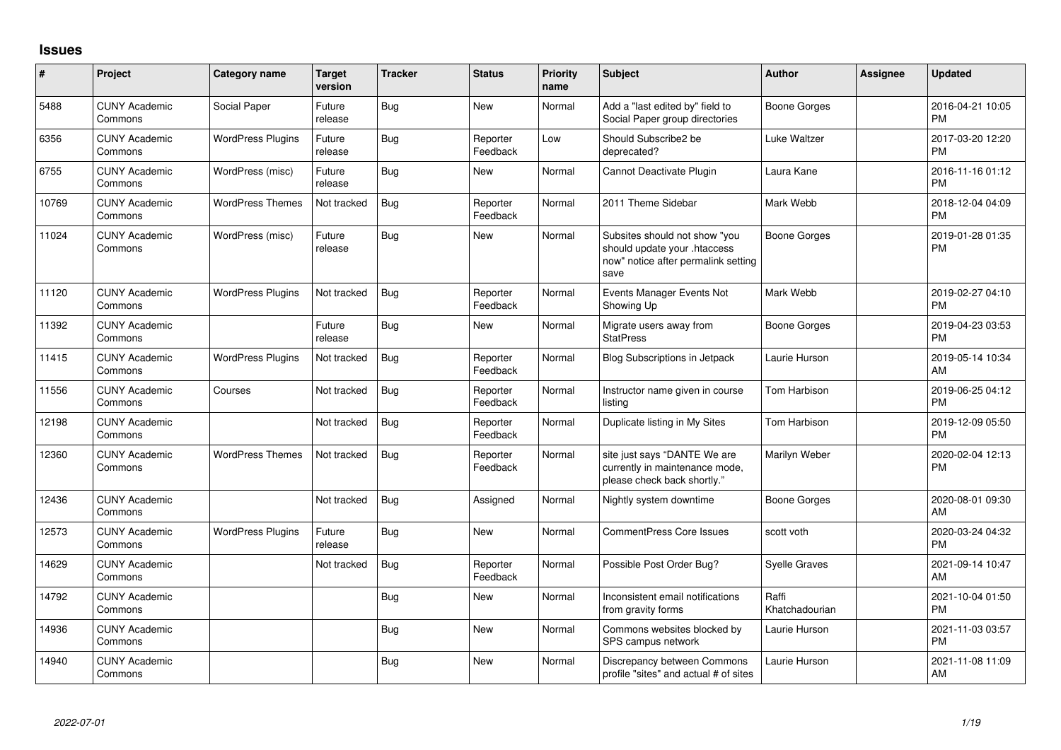## **Issues**

| $\#$  | Project                         | <b>Category name</b>     | <b>Target</b><br>version | <b>Tracker</b> | <b>Status</b>        | Priority<br>name | <b>Subject</b>                                                                                               | <b>Author</b>           | <b>Assignee</b> | <b>Updated</b>                |
|-------|---------------------------------|--------------------------|--------------------------|----------------|----------------------|------------------|--------------------------------------------------------------------------------------------------------------|-------------------------|-----------------|-------------------------------|
| 5488  | <b>CUNY Academic</b><br>Commons | Social Paper             | Future<br>release        | <b>Bug</b>     | <b>New</b>           | Normal           | Add a "last edited by" field to<br>Social Paper group directories                                            | Boone Gorges            |                 | 2016-04-21 10:05<br><b>PM</b> |
| 6356  | <b>CUNY Academic</b><br>Commons | <b>WordPress Plugins</b> | Future<br>release        | <b>Bug</b>     | Reporter<br>Feedback | Low              | Should Subscribe2 be<br>deprecated?                                                                          | Luke Waltzer            |                 | 2017-03-20 12:20<br><b>PM</b> |
| 6755  | <b>CUNY Academic</b><br>Commons | WordPress (misc)         | Future<br>release        | <b>Bug</b>     | <b>New</b>           | Normal           | Cannot Deactivate Plugin                                                                                     | Laura Kane              |                 | 2016-11-16 01:12<br><b>PM</b> |
| 10769 | <b>CUNY Academic</b><br>Commons | <b>WordPress Themes</b>  | Not tracked              | Bug            | Reporter<br>Feedback | Normal           | 2011 Theme Sidebar                                                                                           | Mark Webb               |                 | 2018-12-04 04:09<br><b>PM</b> |
| 11024 | <b>CUNY Academic</b><br>Commons | WordPress (misc)         | Future<br>release        | <b>Bug</b>     | <b>New</b>           | Normal           | Subsites should not show "you<br>should update your .htaccess<br>now" notice after permalink setting<br>save | <b>Boone Gorges</b>     |                 | 2019-01-28 01:35<br><b>PM</b> |
| 11120 | <b>CUNY Academic</b><br>Commons | <b>WordPress Plugins</b> | Not tracked              | Bug            | Reporter<br>Feedback | Normal           | Events Manager Events Not<br>Showing Up                                                                      | Mark Webb               |                 | 2019-02-27 04:10<br><b>PM</b> |
| 11392 | <b>CUNY Academic</b><br>Commons |                          | Future<br>release        | Bug            | <b>New</b>           | Normal           | Migrate users away from<br><b>StatPress</b>                                                                  | Boone Gorges            |                 | 2019-04-23 03:53<br><b>PM</b> |
| 11415 | <b>CUNY Academic</b><br>Commons | <b>WordPress Plugins</b> | Not tracked              | <b>Bug</b>     | Reporter<br>Feedback | Normal           | <b>Blog Subscriptions in Jetpack</b>                                                                         | Laurie Hurson           |                 | 2019-05-14 10:34<br>AM        |
| 11556 | <b>CUNY Academic</b><br>Commons | Courses                  | Not tracked              | Bug            | Reporter<br>Feedback | Normal           | Instructor name given in course<br>listing                                                                   | Tom Harbison            |                 | 2019-06-25 04:12<br><b>PM</b> |
| 12198 | <b>CUNY Academic</b><br>Commons |                          | Not tracked              | Bug            | Reporter<br>Feedback | Normal           | Duplicate listing in My Sites                                                                                | <b>Tom Harbison</b>     |                 | 2019-12-09 05:50<br><b>PM</b> |
| 12360 | <b>CUNY Academic</b><br>Commons | <b>WordPress Themes</b>  | Not tracked              | Bug            | Reporter<br>Feedback | Normal           | site just says "DANTE We are<br>currently in maintenance mode,<br>please check back shortly."                | Marilyn Weber           |                 | 2020-02-04 12:13<br><b>PM</b> |
| 12436 | <b>CUNY Academic</b><br>Commons |                          | Not tracked              | <b>Bug</b>     | Assigned             | Normal           | Nightly system downtime                                                                                      | Boone Gorges            |                 | 2020-08-01 09:30<br>AM        |
| 12573 | <b>CUNY Academic</b><br>Commons | <b>WordPress Plugins</b> | Future<br>release        | Bug            | <b>New</b>           | Normal           | <b>CommentPress Core Issues</b>                                                                              | scott voth              |                 | 2020-03-24 04:32<br><b>PM</b> |
| 14629 | <b>CUNY Academic</b><br>Commons |                          | Not tracked              | Bug            | Reporter<br>Feedback | Normal           | Possible Post Order Bug?                                                                                     | <b>Syelle Graves</b>    |                 | 2021-09-14 10:47<br>AM        |
| 14792 | <b>CUNY Academic</b><br>Commons |                          |                          | <b>Bug</b>     | <b>New</b>           | Normal           | Inconsistent email notifications<br>from gravity forms                                                       | Raffi<br>Khatchadourian |                 | 2021-10-04 01:50<br><b>PM</b> |
| 14936 | <b>CUNY Academic</b><br>Commons |                          |                          | Bug            | <b>New</b>           | Normal           | Commons websites blocked by<br>SPS campus network                                                            | Laurie Hurson           |                 | 2021-11-03 03:57<br><b>PM</b> |
| 14940 | <b>CUNY Academic</b><br>Commons |                          |                          | Bug            | <b>New</b>           | Normal           | Discrepancy between Commons<br>profile "sites" and actual # of sites                                         | Laurie Hurson           |                 | 2021-11-08 11:09<br>AM        |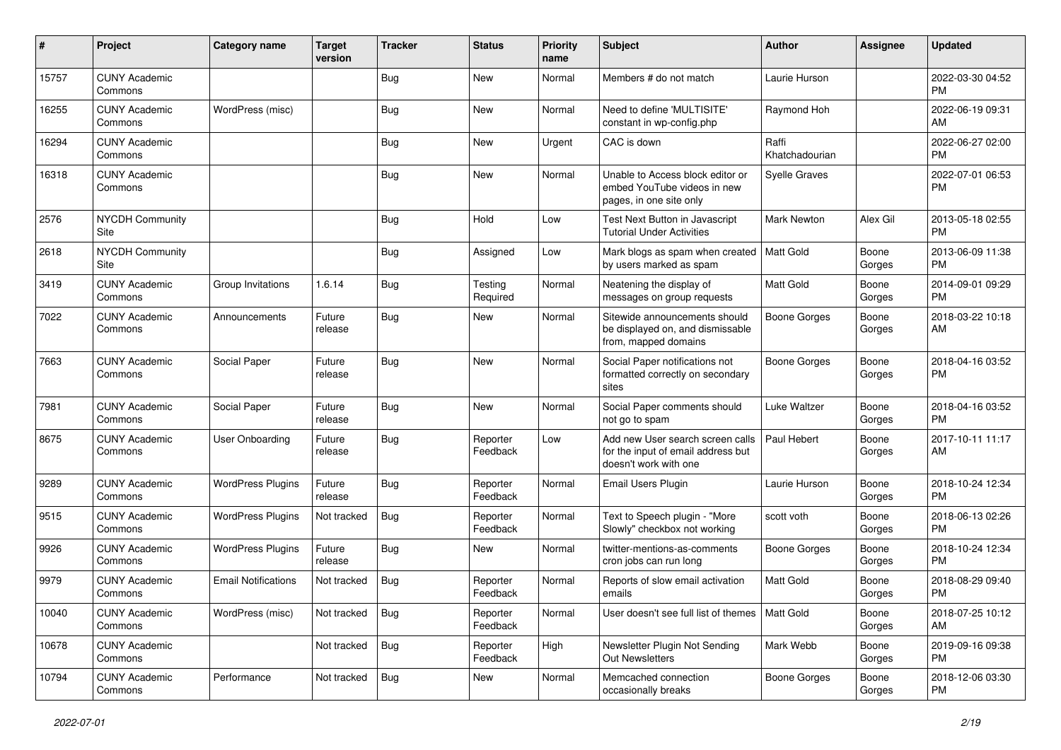| #     | Project                         | <b>Category name</b>       | <b>Target</b><br>version | Tracker    | <b>Status</b>        | <b>Priority</b><br>name | <b>Subject</b>                                                                                  | <b>Author</b>           | <b>Assignee</b> | <b>Updated</b>                |
|-------|---------------------------------|----------------------------|--------------------------|------------|----------------------|-------------------------|-------------------------------------------------------------------------------------------------|-------------------------|-----------------|-------------------------------|
| 15757 | <b>CUNY Academic</b><br>Commons |                            |                          | <b>Bug</b> | <b>New</b>           | Normal                  | Members # do not match                                                                          | Laurie Hurson           |                 | 2022-03-30 04:52<br><b>PM</b> |
| 16255 | <b>CUNY Academic</b><br>Commons | WordPress (misc)           |                          | Bug        | New                  | Normal                  | Need to define 'MULTISITE'<br>constant in wp-config.php                                         | Raymond Hoh             |                 | 2022-06-19 09:31<br>AM        |
| 16294 | <b>CUNY Academic</b><br>Commons |                            |                          | Bug        | New                  | Urgent                  | CAC is down                                                                                     | Raffi<br>Khatchadourian |                 | 2022-06-27 02:00<br><b>PM</b> |
| 16318 | <b>CUNY Academic</b><br>Commons |                            |                          | Bug        | <b>New</b>           | Normal                  | Unable to Access block editor or<br>embed YouTube videos in new<br>pages, in one site only      | <b>Syelle Graves</b>    |                 | 2022-07-01 06:53<br><b>PM</b> |
| 2576  | <b>NYCDH Community</b><br>Site  |                            |                          | Bug        | Hold                 | Low                     | Test Next Button in Javascript<br><b>Tutorial Under Activities</b>                              | <b>Mark Newton</b>      | Alex Gil        | 2013-05-18 02:55<br><b>PM</b> |
| 2618  | <b>NYCDH Community</b><br>Site  |                            |                          | <b>Bug</b> | Assigned             | Low                     | Mark blogs as spam when created<br>by users marked as spam                                      | Matt Gold               | Boone<br>Gorges | 2013-06-09 11:38<br><b>PM</b> |
| 3419  | <b>CUNY Academic</b><br>Commons | Group Invitations          | 1.6.14                   | Bug        | Testing<br>Required  | Normal                  | Neatening the display of<br>messages on group requests                                          | Matt Gold               | Boone<br>Gorges | 2014-09-01 09:29<br><b>PM</b> |
| 7022  | <b>CUNY Academic</b><br>Commons | Announcements              | Future<br>release        | Bug        | New                  | Normal                  | Sitewide announcements should<br>be displayed on, and dismissable<br>from, mapped domains       | <b>Boone Gorges</b>     | Boone<br>Gorges | 2018-03-22 10:18<br>AM        |
| 7663  | <b>CUNY Academic</b><br>Commons | Social Paper               | Future<br>release        | Bug        | New                  | Normal                  | Social Paper notifications not<br>formatted correctly on secondary<br>sites                     | <b>Boone Gorges</b>     | Boone<br>Gorges | 2018-04-16 03:52<br><b>PM</b> |
| 7981  | <b>CUNY Academic</b><br>Commons | Social Paper               | Future<br>release        | Bug        | New                  | Normal                  | Social Paper comments should<br>not go to spam                                                  | Luke Waltzer            | Boone<br>Gorges | 2018-04-16 03:52<br><b>PM</b> |
| 8675  | <b>CUNY Academic</b><br>Commons | User Onboarding            | Future<br>release        | Bug        | Reporter<br>Feedback | Low                     | Add new User search screen calls<br>for the input of email address but<br>doesn't work with one | Paul Hebert             | Boone<br>Gorges | 2017-10-11 11:17<br>AM        |
| 9289  | <b>CUNY Academic</b><br>Commons | <b>WordPress Plugins</b>   | Future<br>release        | Bug        | Reporter<br>Feedback | Normal                  | Email Users Plugin                                                                              | Laurie Hurson           | Boone<br>Gorges | 2018-10-24 12:34<br><b>PM</b> |
| 9515  | <b>CUNY Academic</b><br>Commons | <b>WordPress Plugins</b>   | Not tracked              | Bug        | Reporter<br>Feedback | Normal                  | Text to Speech plugin - "More<br>Slowly" checkbox not working                                   | scott voth              | Boone<br>Gorges | 2018-06-13 02:26<br><b>PM</b> |
| 9926  | <b>CUNY Academic</b><br>Commons | <b>WordPress Plugins</b>   | Future<br>release        | <b>Bug</b> | New                  | Normal                  | twitter-mentions-as-comments<br>cron jobs can run long                                          | Boone Gorges            | Boone<br>Gorges | 2018-10-24 12:34<br><b>PM</b> |
| 9979  | <b>CUNY Academic</b><br>Commons | <b>Email Notifications</b> | Not tracked              | <b>Bug</b> | Reporter<br>Feedback | Normal                  | Reports of slow email activation<br>emails                                                      | <b>Matt Gold</b>        | Boone<br>Gorges | 2018-08-29 09:40<br><b>PM</b> |
| 10040 | <b>CUNY Academic</b><br>Commons | WordPress (misc)           | Not tracked              | <b>Bug</b> | Reporter<br>Feedback | Normal                  | User doesn't see full list of themes                                                            | Matt Gold               | Boone<br>Gorges | 2018-07-25 10:12<br>AM        |
| 10678 | <b>CUNY Academic</b><br>Commons |                            | Not tracked              | <b>Bug</b> | Reporter<br>Feedback | High                    | Newsletter Plugin Not Sending<br>Out Newsletters                                                | Mark Webb               | Boone<br>Gorges | 2019-09-16 09:38<br><b>PM</b> |
| 10794 | <b>CUNY Academic</b><br>Commons | Performance                | Not tracked              | <b>Bug</b> | New                  | Normal                  | Memcached connection<br>occasionally breaks                                                     | <b>Boone Gorges</b>     | Boone<br>Gorges | 2018-12-06 03:30<br>PM        |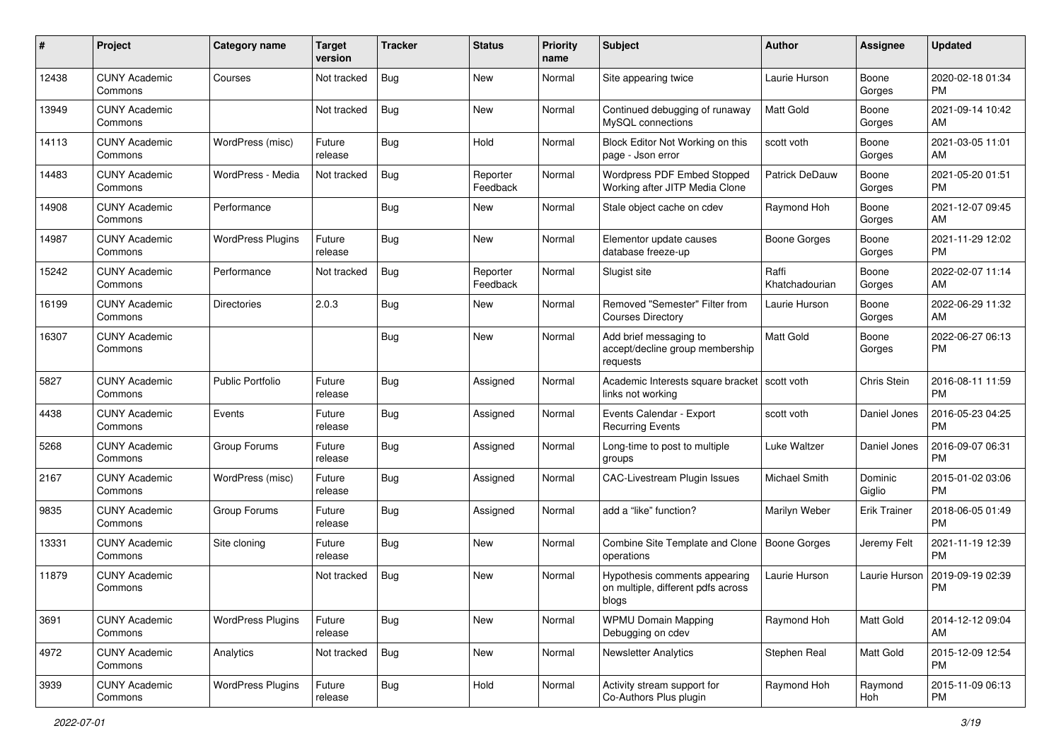| #     | Project                         | <b>Category name</b>     | <b>Target</b><br>version | <b>Tracker</b> | <b>Status</b>        | <b>Priority</b><br>name | <b>Subject</b>                                                               | <b>Author</b>           | <b>Assignee</b>     | <b>Updated</b>                |
|-------|---------------------------------|--------------------------|--------------------------|----------------|----------------------|-------------------------|------------------------------------------------------------------------------|-------------------------|---------------------|-------------------------------|
| 12438 | <b>CUNY Academic</b><br>Commons | Courses                  | Not tracked              | Bug            | <b>New</b>           | Normal                  | Site appearing twice                                                         | Laurie Hurson           | Boone<br>Gorges     | 2020-02-18 01:34<br>PM        |
| 13949 | <b>CUNY Academic</b><br>Commons |                          | Not tracked              | <b>Bug</b>     | New                  | Normal                  | Continued debugging of runaway<br>MySQL connections                          | <b>Matt Gold</b>        | Boone<br>Gorges     | 2021-09-14 10:42<br>AM        |
| 14113 | <b>CUNY Academic</b><br>Commons | WordPress (misc)         | Future<br>release        | Bug            | Hold                 | Normal                  | Block Editor Not Working on this<br>page - Json error                        | scott voth              | Boone<br>Gorges     | 2021-03-05 11:01<br>AM        |
| 14483 | <b>CUNY Academic</b><br>Commons | WordPress - Media        | Not tracked              | Bug            | Reporter<br>Feedback | Normal                  | Wordpress PDF Embed Stopped<br>Working after JITP Media Clone                | <b>Patrick DeDauw</b>   | Boone<br>Gorges     | 2021-05-20 01:51<br><b>PM</b> |
| 14908 | <b>CUNY Academic</b><br>Commons | Performance              |                          | Bug            | New                  | Normal                  | Stale object cache on cdev                                                   | Raymond Hoh             | Boone<br>Gorges     | 2021-12-07 09:45<br>AM        |
| 14987 | <b>CUNY Academic</b><br>Commons | <b>WordPress Plugins</b> | Future<br>release        | Bug            | New                  | Normal                  | Elementor update causes<br>database freeze-up                                | <b>Boone Gorges</b>     | Boone<br>Gorges     | 2021-11-29 12:02<br><b>PM</b> |
| 15242 | <b>CUNY Academic</b><br>Commons | Performance              | Not tracked              | Bug            | Reporter<br>Feedback | Normal                  | Slugist site                                                                 | Raffi<br>Khatchadourian | Boone<br>Gorges     | 2022-02-07 11:14<br>AM        |
| 16199 | <b>CUNY Academic</b><br>Commons | <b>Directories</b>       | 2.0.3                    | Bug            | New                  | Normal                  | Removed "Semester" Filter from<br><b>Courses Directory</b>                   | Laurie Hurson           | Boone<br>Gorges     | 2022-06-29 11:32<br>AM        |
| 16307 | <b>CUNY Academic</b><br>Commons |                          |                          | Bug            | New                  | Normal                  | Add brief messaging to<br>accept/decline group membership<br>requests        | <b>Matt Gold</b>        | Boone<br>Gorges     | 2022-06-27 06:13<br><b>PM</b> |
| 5827  | <b>CUNY Academic</b><br>Commons | <b>Public Portfolio</b>  | Future<br>release        | Bug            | Assigned             | Normal                  | Academic Interests square bracket   scott voth<br>links not working          |                         | Chris Stein         | 2016-08-11 11:59<br><b>PM</b> |
| 4438  | <b>CUNY Academic</b><br>Commons | Events                   | Future<br>release        | Bug            | Assigned             | Normal                  | Events Calendar - Export<br><b>Recurring Events</b>                          | scott voth              | Daniel Jones        | 2016-05-23 04:25<br><b>PM</b> |
| 5268  | <b>CUNY Academic</b><br>Commons | Group Forums             | Future<br>release        | Bug            | Assigned             | Normal                  | Long-time to post to multiple<br>groups                                      | Luke Waltzer            | Daniel Jones        | 2016-09-07 06:31<br><b>PM</b> |
| 2167  | <b>CUNY Academic</b><br>Commons | WordPress (misc)         | Future<br>release        | <b>Bug</b>     | Assigned             | Normal                  | <b>CAC-Livestream Plugin Issues</b>                                          | Michael Smith           | Dominic<br>Giglio   | 2015-01-02 03:06<br><b>PM</b> |
| 9835  | <b>CUNY Academic</b><br>Commons | Group Forums             | Future<br>release        | Bug            | Assigned             | Normal                  | add a "like" function?                                                       | Marilyn Weber           | <b>Erik Trainer</b> | 2018-06-05 01:49<br><b>PM</b> |
| 13331 | <b>CUNY Academic</b><br>Commons | Site cloning             | Future<br>release        | Bug            | <b>New</b>           | Normal                  | Combine Site Template and Clone<br>operations                                | <b>Boone Gorges</b>     | Jeremy Felt         | 2021-11-19 12:39<br><b>PM</b> |
| 11879 | <b>CUNY Academic</b><br>Commons |                          | Not tracked              | <b>Bug</b>     | New                  | Normal                  | Hypothesis comments appearing<br>on multiple, different pdfs across<br>blogs | Laurie Hurson           | Laurie Hurson       | 2019-09-19 02:39<br><b>PM</b> |
| 3691  | <b>CUNY Academic</b><br>Commons | <b>WordPress Plugins</b> | Future<br>release        | <b>Bug</b>     | New                  | Normal                  | <b>WPMU Domain Mapping</b><br>Debugging on cdev                              | Raymond Hoh             | Matt Gold           | 2014-12-12 09:04<br>AM        |
| 4972  | <b>CUNY Academic</b><br>Commons | Analytics                | Not tracked              | <b>Bug</b>     | New                  | Normal                  | <b>Newsletter Analytics</b>                                                  | Stephen Real            | Matt Gold           | 2015-12-09 12:54<br><b>PM</b> |
| 3939  | <b>CUNY Academic</b><br>Commons | <b>WordPress Plugins</b> | Future<br>release        | Bug            | Hold                 | Normal                  | Activity stream support for<br>Co-Authors Plus plugin                        | Raymond Hoh             | Raymond<br>Hoh      | 2015-11-09 06:13<br>PM        |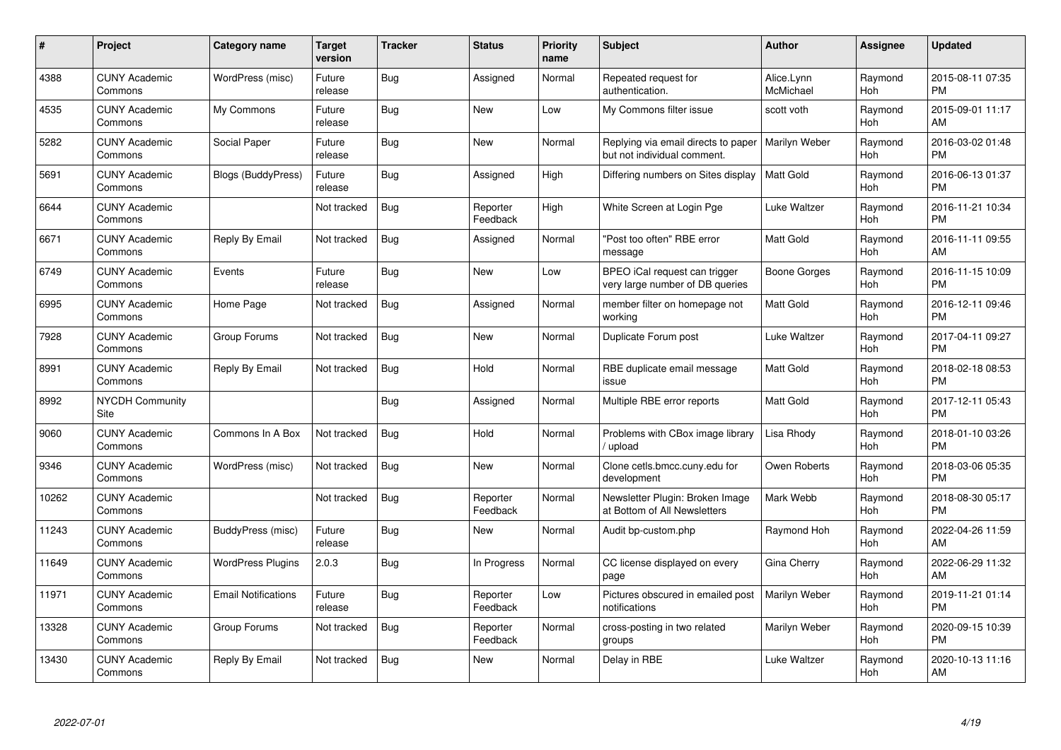| #     | <b>Project</b>                  | Category name              | Target<br>version | <b>Tracker</b> | <b>Status</b>        | <b>Priority</b><br>name | <b>Subject</b>                                                     | <b>Author</b>           | Assignee       | <b>Updated</b>                |
|-------|---------------------------------|----------------------------|-------------------|----------------|----------------------|-------------------------|--------------------------------------------------------------------|-------------------------|----------------|-------------------------------|
| 4388  | <b>CUNY Academic</b><br>Commons | WordPress (misc)           | Future<br>release | <b>Bug</b>     | Assigned             | Normal                  | Repeated request for<br>authentication.                            | Alice.Lynn<br>McMichael | Raymond<br>Hoh | 2015-08-11 07:35<br><b>PM</b> |
| 4535  | <b>CUNY Academic</b><br>Commons | My Commons                 | Future<br>release | Bug            | New                  | Low                     | My Commons filter issue                                            | scott voth              | Raymond<br>Hoh | 2015-09-01 11:17<br>AM        |
| 5282  | <b>CUNY Academic</b><br>Commons | Social Paper               | Future<br>release | Bug            | <b>New</b>           | Normal                  | Replying via email directs to paper<br>but not individual comment. | Marilyn Weber           | Raymond<br>Hoh | 2016-03-02 01:48<br><b>PM</b> |
| 5691  | <b>CUNY Academic</b><br>Commons | <b>Blogs (BuddyPress)</b>  | Future<br>release | Bug            | Assigned             | High                    | Differing numbers on Sites display                                 | <b>Matt Gold</b>        | Raymond<br>Hoh | 2016-06-13 01:37<br><b>PM</b> |
| 6644  | <b>CUNY Academic</b><br>Commons |                            | Not tracked       | Bug            | Reporter<br>Feedback | High                    | White Screen at Login Pge                                          | Luke Waltzer            | Raymond<br>Hoh | 2016-11-21 10:34<br><b>PM</b> |
| 6671  | <b>CUNY Academic</b><br>Commons | Reply By Email             | Not tracked       | Bug            | Assigned             | Normal                  | "Post too often" RBE error<br>message                              | <b>Matt Gold</b>        | Raymond<br>Hoh | 2016-11-11 09:55<br><b>AM</b> |
| 6749  | <b>CUNY Academic</b><br>Commons | Events                     | Future<br>release | <b>Bug</b>     | <b>New</b>           | Low                     | BPEO iCal request can trigger<br>very large number of DB queries   | Boone Gorges            | Raymond<br>Hoh | 2016-11-15 10:09<br><b>PM</b> |
| 6995  | <b>CUNY Academic</b><br>Commons | Home Page                  | Not tracked       | <b>Bug</b>     | Assigned             | Normal                  | member filter on homepage not<br>working                           | <b>Matt Gold</b>        | Raymond<br>Hoh | 2016-12-11 09:46<br><b>PM</b> |
| 7928  | <b>CUNY Academic</b><br>Commons | Group Forums               | Not tracked       | Bug            | <b>New</b>           | Normal                  | Duplicate Forum post                                               | Luke Waltzer            | Raymond<br>Hoh | 2017-04-11 09:27<br><b>PM</b> |
| 8991  | <b>CUNY Academic</b><br>Commons | Reply By Email             | Not tracked       | Bug            | Hold                 | Normal                  | RBE duplicate email message<br>issue                               | <b>Matt Gold</b>        | Raymond<br>Hoh | 2018-02-18 08:53<br><b>PM</b> |
| 8992  | <b>NYCDH Community</b><br>Site  |                            |                   | Bug            | Assigned             | Normal                  | Multiple RBE error reports                                         | Matt Gold               | Raymond<br>Hoh | 2017-12-11 05:43<br><b>PM</b> |
| 9060  | <b>CUNY Academic</b><br>Commons | Commons In A Box           | Not tracked       | Bug            | Hold                 | Normal                  | Problems with CBox image library<br>/ upload                       | Lisa Rhody              | Raymond<br>Hoh | 2018-01-10 03:26<br><b>PM</b> |
| 9346  | <b>CUNY Academic</b><br>Commons | WordPress (misc)           | Not tracked       | Bug            | New                  | Normal                  | Clone cetls.bmcc.cuny.edu for<br>development                       | Owen Roberts            | Raymond<br>Hoh | 2018-03-06 05:35<br><b>PM</b> |
| 10262 | <b>CUNY Academic</b><br>Commons |                            | Not tracked       | Bug            | Reporter<br>Feedback | Normal                  | Newsletter Plugin: Broken Image<br>at Bottom of All Newsletters    | Mark Webb               | Raymond<br>Hoh | 2018-08-30 05:17<br><b>PM</b> |
| 11243 | <b>CUNY Academic</b><br>Commons | BuddyPress (misc)          | Future<br>release | <b>Bug</b>     | <b>New</b>           | Normal                  | Audit bp-custom.php                                                | Raymond Hoh             | Raymond<br>Hoh | 2022-04-26 11:59<br>AM        |
| 11649 | <b>CUNY Academic</b><br>Commons | <b>WordPress Plugins</b>   | 2.0.3             | Bug            | In Progress          | Normal                  | CC license displayed on every<br>page                              | Gina Cherry             | Raymond<br>Hoh | 2022-06-29 11:32<br><b>AM</b> |
| 11971 | <b>CUNY Academic</b><br>Commons | <b>Email Notifications</b> | Future<br>release | Bug            | Reporter<br>Feedback | Low                     | Pictures obscured in emailed post<br>notifications                 | Marilyn Weber           | Raymond<br>Hoh | 2019-11-21 01:14<br><b>PM</b> |
| 13328 | <b>CUNY Academic</b><br>Commons | Group Forums               | Not tracked       | Bug            | Reporter<br>Feedback | Normal                  | cross-posting in two related<br>groups                             | Marilyn Weber           | Raymond<br>Hoh | 2020-09-15 10:39<br><b>PM</b> |
| 13430 | <b>CUNY Academic</b><br>Commons | Reply By Email             | Not tracked       | Bug            | <b>New</b>           | Normal                  | Delay in RBE                                                       | Luke Waltzer            | Raymond<br>Hoh | 2020-10-13 11:16<br>AM        |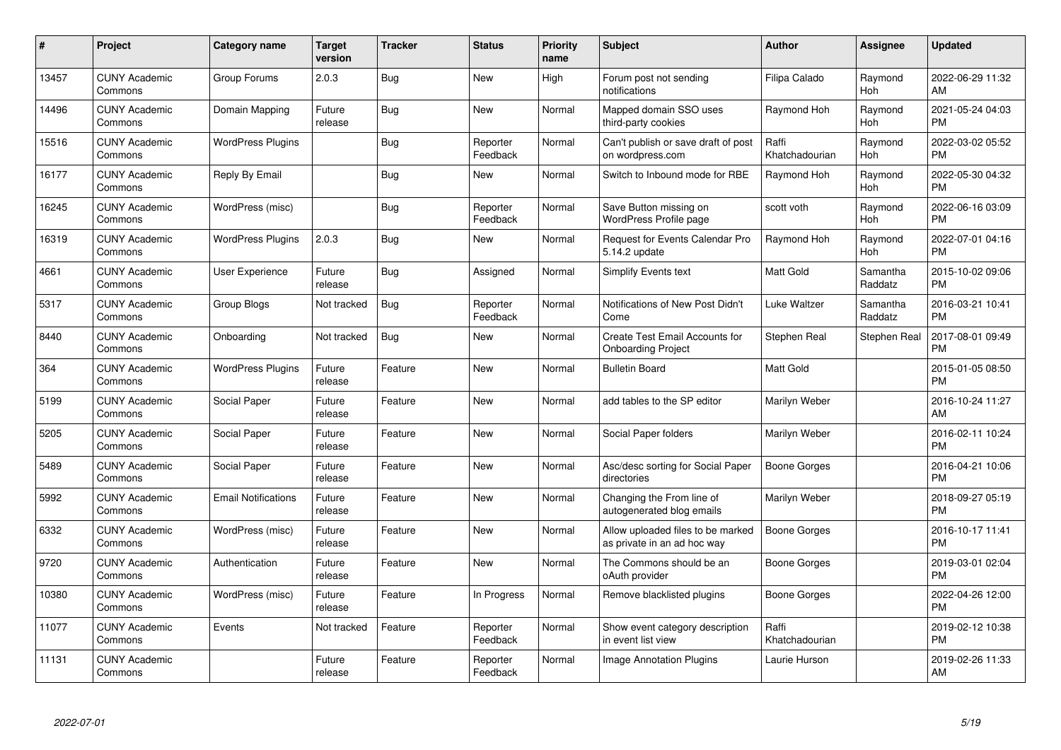| #     | Project                         | <b>Category name</b>       | Target<br>version | <b>Tracker</b> | <b>Status</b>        | <b>Priority</b><br>name | <b>Subject</b>                                                     | <b>Author</b>           | Assignee            | <b>Updated</b>                |
|-------|---------------------------------|----------------------------|-------------------|----------------|----------------------|-------------------------|--------------------------------------------------------------------|-------------------------|---------------------|-------------------------------|
| 13457 | <b>CUNY Academic</b><br>Commons | Group Forums               | 2.0.3             | Bug            | <b>New</b>           | High                    | Forum post not sending<br>notifications                            | Filipa Calado           | Raymond<br>Hoh      | 2022-06-29 11:32<br>AM        |
| 14496 | <b>CUNY Academic</b><br>Commons | Domain Mapping             | Future<br>release | Bug            | New                  | Normal                  | Mapped domain SSO uses<br>third-party cookies                      | Raymond Hoh             | Raymond<br>Hoh      | 2021-05-24 04:03<br><b>PM</b> |
| 15516 | <b>CUNY Academic</b><br>Commons | <b>WordPress Plugins</b>   |                   | <b>Bug</b>     | Reporter<br>Feedback | Normal                  | Can't publish or save draft of post<br>on wordpress.com            | Raffi<br>Khatchadourian | Raymond<br>Hoh      | 2022-03-02 05:52<br><b>PM</b> |
| 16177 | <b>CUNY Academic</b><br>Commons | Reply By Email             |                   | <b>Bug</b>     | <b>New</b>           | Normal                  | Switch to Inbound mode for RBE                                     | Raymond Hoh             | Raymond<br>Hoh      | 2022-05-30 04:32<br><b>PM</b> |
| 16245 | <b>CUNY Academic</b><br>Commons | WordPress (misc)           |                   | <b>Bug</b>     | Reporter<br>Feedback | Normal                  | Save Button missing on<br><b>WordPress Profile page</b>            | scott voth              | Raymond<br>Hoh      | 2022-06-16 03:09<br><b>PM</b> |
| 16319 | <b>CUNY Academic</b><br>Commons | <b>WordPress Plugins</b>   | 2.0.3             | <b>Bug</b>     | New                  | Normal                  | Request for Events Calendar Pro<br>5.14.2 update                   | Raymond Hoh             | Raymond<br>Hoh      | 2022-07-01 04:16<br><b>PM</b> |
| 4661  | <b>CUNY Academic</b><br>Commons | User Experience            | Future<br>release | <b>Bug</b>     | Assigned             | Normal                  | Simplify Events text                                               | <b>Matt Gold</b>        | Samantha<br>Raddatz | 2015-10-02 09:06<br><b>PM</b> |
| 5317  | <b>CUNY Academic</b><br>Commons | Group Blogs                | Not tracked       | Bug            | Reporter<br>Feedback | Normal                  | Notifications of New Post Didn't<br>Come                           | Luke Waltzer            | Samantha<br>Raddatz | 2016-03-21 10:41<br><b>PM</b> |
| 8440  | <b>CUNY Academic</b><br>Commons | Onboarding                 | Not tracked       | <b>Bug</b>     | <b>New</b>           | Normal                  | <b>Create Test Email Accounts for</b><br><b>Onboarding Project</b> | Stephen Real            | Stephen Real        | 2017-08-01 09:49<br><b>PM</b> |
| 364   | <b>CUNY Academic</b><br>Commons | <b>WordPress Plugins</b>   | Future<br>release | Feature        | <b>New</b>           | Normal                  | <b>Bulletin Board</b>                                              | Matt Gold               |                     | 2015-01-05 08:50<br><b>PM</b> |
| 5199  | <b>CUNY Academic</b><br>Commons | Social Paper               | Future<br>release | Feature        | <b>New</b>           | Normal                  | add tables to the SP editor                                        | Marilyn Weber           |                     | 2016-10-24 11:27<br>AM        |
| 5205  | <b>CUNY Academic</b><br>Commons | Social Paper               | Future<br>release | Feature        | <b>New</b>           | Normal                  | Social Paper folders                                               | Marilyn Weber           |                     | 2016-02-11 10:24<br><b>PM</b> |
| 5489  | <b>CUNY Academic</b><br>Commons | Social Paper               | Future<br>release | Feature        | <b>New</b>           | Normal                  | Asc/desc sorting for Social Paper<br>directories                   | <b>Boone Gorges</b>     |                     | 2016-04-21 10:06<br><b>PM</b> |
| 5992  | <b>CUNY Academic</b><br>Commons | <b>Email Notifications</b> | Future<br>release | Feature        | <b>New</b>           | Normal                  | Changing the From line of<br>autogenerated blog emails             | Marilyn Weber           |                     | 2018-09-27 05:19<br><b>PM</b> |
| 6332  | <b>CUNY Academic</b><br>Commons | WordPress (misc)           | Future<br>release | Feature        | New                  | Normal                  | Allow uploaded files to be marked<br>as private in an ad hoc way   | <b>Boone Gorges</b>     |                     | 2016-10-17 11:41<br><b>PM</b> |
| 9720  | <b>CUNY Academic</b><br>Commons | Authentication             | Future<br>release | Feature        | <b>New</b>           | Normal                  | The Commons should be an<br>oAuth provider                         | Boone Gorges            |                     | 2019-03-01 02:04<br><b>PM</b> |
| 10380 | <b>CUNY Academic</b><br>Commons | WordPress (misc)           | Future<br>release | Feature        | In Progress          | Normal                  | Remove blacklisted plugins                                         | Boone Gorges            |                     | 2022-04-26 12:00<br><b>PM</b> |
| 11077 | <b>CUNY Academic</b><br>Commons | Events                     | Not tracked       | Feature        | Reporter<br>Feedback | Normal                  | Show event category description<br>in event list view              | Raffi<br>Khatchadourian |                     | 2019-02-12 10:38<br><b>PM</b> |
| 11131 | <b>CUNY Academic</b><br>Commons |                            | Future<br>release | Feature        | Reporter<br>Feedback | Normal                  | Image Annotation Plugins                                           | Laurie Hurson           |                     | 2019-02-26 11:33<br>AM        |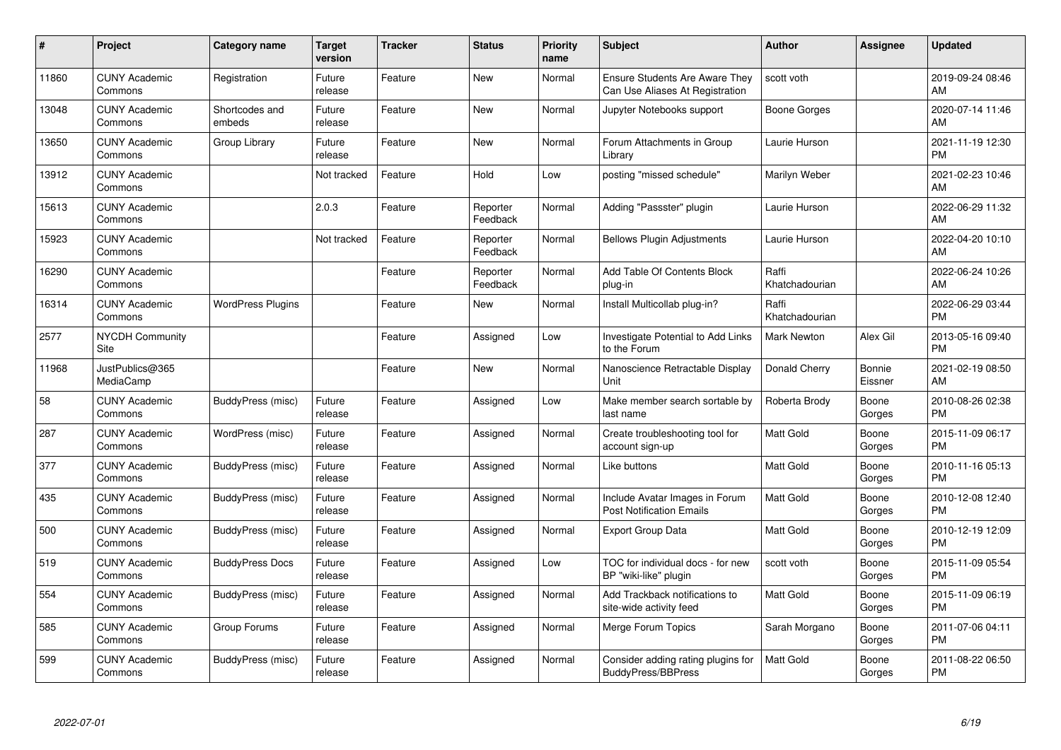| $\pmb{\#}$ | Project                               | <b>Category name</b>     | <b>Target</b><br>version | <b>Tracker</b> | <b>Status</b>        | <b>Priority</b><br>name | <b>Subject</b>                                                           | <b>Author</b>           | <b>Assignee</b>   | <b>Updated</b>                |
|------------|---------------------------------------|--------------------------|--------------------------|----------------|----------------------|-------------------------|--------------------------------------------------------------------------|-------------------------|-------------------|-------------------------------|
| 11860      | <b>CUNY Academic</b><br>Commons       | Registration             | Future<br>release        | Feature        | <b>New</b>           | Normal                  | <b>Ensure Students Are Aware They</b><br>Can Use Aliases At Registration | scott voth              |                   | 2019-09-24 08:46<br>AM        |
| 13048      | <b>CUNY Academic</b><br>Commons       | Shortcodes and<br>embeds | Future<br>release        | Feature        | <b>New</b>           | Normal                  | Jupyter Notebooks support                                                | Boone Gorges            |                   | 2020-07-14 11:46<br>AM        |
| 13650      | <b>CUNY Academic</b><br>Commons       | Group Library            | Future<br>release        | Feature        | New                  | Normal                  | Forum Attachments in Group<br>Library                                    | Laurie Hurson           |                   | 2021-11-19 12:30<br><b>PM</b> |
| 13912      | <b>CUNY Academic</b><br>Commons       |                          | Not tracked              | Feature        | Hold                 | Low                     | posting "missed schedule"                                                | Marilyn Weber           |                   | 2021-02-23 10:46<br>AM        |
| 15613      | <b>CUNY Academic</b><br>Commons       |                          | 2.0.3                    | Feature        | Reporter<br>Feedback | Normal                  | Adding "Passster" plugin                                                 | Laurie Hurson           |                   | 2022-06-29 11:32<br>AM        |
| 15923      | <b>CUNY Academic</b><br>Commons       |                          | Not tracked              | Feature        | Reporter<br>Feedback | Normal                  | <b>Bellows Plugin Adjustments</b>                                        | Laurie Hurson           |                   | 2022-04-20 10:10<br>AM        |
| 16290      | <b>CUNY Academic</b><br>Commons       |                          |                          | Feature        | Reporter<br>Feedback | Normal                  | Add Table Of Contents Block<br>plug-in                                   | Raffi<br>Khatchadourian |                   | 2022-06-24 10:26<br>AM        |
| 16314      | <b>CUNY Academic</b><br>Commons       | <b>WordPress Plugins</b> |                          | Feature        | New                  | Normal                  | Install Multicollab plug-in?                                             | Raffi<br>Khatchadourian |                   | 2022-06-29 03:44<br><b>PM</b> |
| 2577       | <b>NYCDH Community</b><br><b>Site</b> |                          |                          | Feature        | Assigned             | Low                     | Investigate Potential to Add Links<br>to the Forum                       | <b>Mark Newton</b>      | Alex Gil          | 2013-05-16 09:40<br><b>PM</b> |
| 11968      | JustPublics@365<br>MediaCamp          |                          |                          | Feature        | <b>New</b>           | Normal                  | Nanoscience Retractable Display<br>Unit                                  | Donald Cherry           | Bonnie<br>Eissner | 2021-02-19 08:50<br>AM        |
| 58         | <b>CUNY Academic</b><br>Commons       | BuddyPress (misc)        | Future<br>release        | Feature        | Assigned             | Low                     | Make member search sortable by<br>last name                              | Roberta Brody           | Boone<br>Gorges   | 2010-08-26 02:38<br><b>PM</b> |
| 287        | <b>CUNY Academic</b><br>Commons       | WordPress (misc)         | Future<br>release        | Feature        | Assigned             | Normal                  | Create troubleshooting tool for<br>account sign-up                       | Matt Gold               | Boone<br>Gorges   | 2015-11-09 06:17<br><b>PM</b> |
| 377        | <b>CUNY Academic</b><br>Commons       | BuddyPress (misc)        | Future<br>release        | Feature        | Assigned             | Normal                  | Like buttons                                                             | <b>Matt Gold</b>        | Boone<br>Gorges   | 2010-11-16 05:13<br><b>PM</b> |
| 435        | <b>CUNY Academic</b><br>Commons       | BuddyPress (misc)        | Future<br>release        | Feature        | Assigned             | Normal                  | Include Avatar Images in Forum<br><b>Post Notification Emails</b>        | <b>Matt Gold</b>        | Boone<br>Gorges   | 2010-12-08 12:40<br><b>PM</b> |
| 500        | <b>CUNY Academic</b><br>Commons       | BuddyPress (misc)        | Future<br>release        | Feature        | Assigned             | Normal                  | <b>Export Group Data</b>                                                 | <b>Matt Gold</b>        | Boone<br>Gorges   | 2010-12-19 12:09<br><b>PM</b> |
| 519        | <b>CUNY Academic</b><br>Commons       | <b>BuddyPress Docs</b>   | Future<br>release        | Feature        | Assigned             | Low                     | TOC for individual docs - for new<br>BP "wiki-like" plugin               | scott voth              | Boone<br>Gorges   | 2015-11-09 05:54<br><b>PM</b> |
| 554        | <b>CUNY Academic</b><br>Commons       | BuddyPress (misc)        | Future<br>release        | Feature        | Assigned             | Normal                  | Add Trackback notifications to<br>site-wide activity feed                | Matt Gold               | Boone<br>Gorges   | 2015-11-09 06:19<br><b>PM</b> |
| 585        | <b>CUNY Academic</b><br>Commons       | Group Forums             | Future<br>release        | Feature        | Assigned             | Normal                  | Merge Forum Topics                                                       | Sarah Morgano           | Boone<br>Gorges   | 2011-07-06 04:11<br><b>PM</b> |
| 599        | <b>CUNY Academic</b><br>Commons       | BuddyPress (misc)        | Future<br>release        | Feature        | Assigned             | Normal                  | Consider adding rating plugins for<br><b>BuddyPress/BBPress</b>          | <b>Matt Gold</b>        | Boone<br>Gorges   | 2011-08-22 06:50<br>PM        |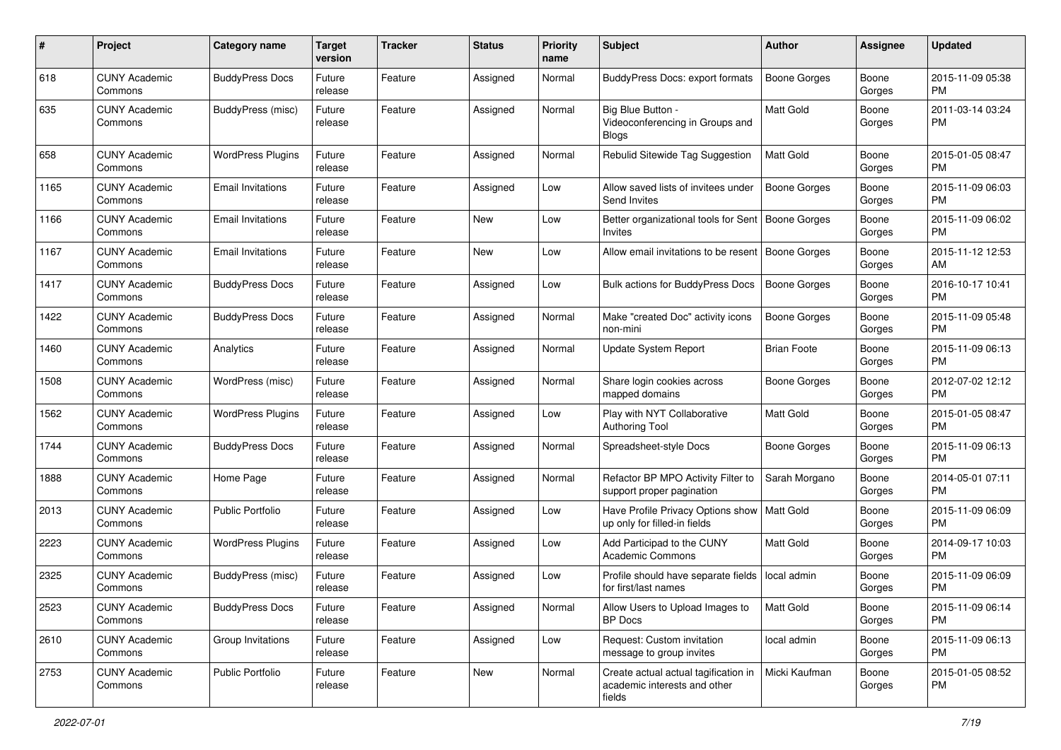| #    | Project                         | <b>Category name</b>     | <b>Target</b><br>version | <b>Tracker</b> | <b>Status</b> | <b>Priority</b><br>name | <b>Subject</b>                                                                 | <b>Author</b>       | Assignee        | <b>Updated</b>                |
|------|---------------------------------|--------------------------|--------------------------|----------------|---------------|-------------------------|--------------------------------------------------------------------------------|---------------------|-----------------|-------------------------------|
| 618  | <b>CUNY Academic</b><br>Commons | <b>BuddyPress Docs</b>   | Future<br>release        | Feature        | Assigned      | Normal                  | <b>BuddyPress Docs: export formats</b>                                         | <b>Boone Gorges</b> | Boone<br>Gorges | 2015-11-09 05:38<br>PM.       |
| 635  | <b>CUNY Academic</b><br>Commons | <b>BuddyPress</b> (misc) | Future<br>release        | Feature        | Assigned      | Normal                  | Big Blue Button -<br>Videoconferencing in Groups and<br>Blogs                  | Matt Gold           | Boone<br>Gorges | 2011-03-14 03:24<br><b>PM</b> |
| 658  | <b>CUNY Academic</b><br>Commons | <b>WordPress Plugins</b> | Future<br>release        | Feature        | Assigned      | Normal                  | Rebulid Sitewide Tag Suggestion                                                | <b>Matt Gold</b>    | Boone<br>Gorges | 2015-01-05 08:47<br><b>PM</b> |
| 1165 | <b>CUNY Academic</b><br>Commons | <b>Email Invitations</b> | Future<br>release        | Feature        | Assigned      | Low                     | Allow saved lists of invitees under<br>Send Invites                            | <b>Boone Gorges</b> | Boone<br>Gorges | 2015-11-09 06:03<br><b>PM</b> |
| 1166 | <b>CUNY Academic</b><br>Commons | <b>Email Invitations</b> | Future<br>release        | Feature        | New           | Low                     | Better organizational tools for Sent<br>Invites                                | Boone Gorges        | Boone<br>Gorges | 2015-11-09 06:02<br><b>PM</b> |
| 1167 | <b>CUNY Academic</b><br>Commons | <b>Email Invitations</b> | Future<br>release        | Feature        | New           | Low                     | Allow email invitations to be resent                                           | Boone Gorges        | Boone<br>Gorges | 2015-11-12 12:53<br>AM        |
| 1417 | <b>CUNY Academic</b><br>Commons | <b>BuddyPress Docs</b>   | Future<br>release        | Feature        | Assigned      | Low                     | Bulk actions for BuddyPress Docs                                               | <b>Boone Gorges</b> | Boone<br>Gorges | 2016-10-17 10:41<br><b>PM</b> |
| 1422 | <b>CUNY Academic</b><br>Commons | <b>BuddyPress Docs</b>   | Future<br>release        | Feature        | Assigned      | Normal                  | Make "created Doc" activity icons<br>non-mini                                  | <b>Boone Gorges</b> | Boone<br>Gorges | 2015-11-09 05:48<br><b>PM</b> |
| 1460 | <b>CUNY Academic</b><br>Commons | Analytics                | Future<br>release        | Feature        | Assigned      | Normal                  | Update System Report                                                           | <b>Brian Foote</b>  | Boone<br>Gorges | 2015-11-09 06:13<br>PM        |
| 1508 | <b>CUNY Academic</b><br>Commons | WordPress (misc)         | Future<br>release        | Feature        | Assigned      | Normal                  | Share login cookies across<br>mapped domains                                   | Boone Gorges        | Boone<br>Gorges | 2012-07-02 12:12<br><b>PM</b> |
| 1562 | <b>CUNY Academic</b><br>Commons | <b>WordPress Plugins</b> | Future<br>release        | Feature        | Assigned      | Low                     | Play with NYT Collaborative<br><b>Authoring Tool</b>                           | <b>Matt Gold</b>    | Boone<br>Gorges | 2015-01-05 08:47<br><b>PM</b> |
| 1744 | <b>CUNY Academic</b><br>Commons | <b>BuddyPress Docs</b>   | Future<br>release        | Feature        | Assigned      | Normal                  | Spreadsheet-style Docs                                                         | <b>Boone Gorges</b> | Boone<br>Gorges | 2015-11-09 06:13<br><b>PM</b> |
| 1888 | <b>CUNY Academic</b><br>Commons | Home Page                | Future<br>release        | Feature        | Assigned      | Normal                  | Refactor BP MPO Activity Filter to<br>support proper pagination                | Sarah Morgano       | Boone<br>Gorges | 2014-05-01 07:11<br><b>PM</b> |
| 2013 | <b>CUNY Academic</b><br>Commons | <b>Public Portfolio</b>  | Future<br>release        | Feature        | Assigned      | Low                     | Have Profile Privacy Options show<br>up only for filled-in fields              | Matt Gold           | Boone<br>Gorges | 2015-11-09 06:09<br><b>PM</b> |
| 2223 | <b>CUNY Academic</b><br>Commons | <b>WordPress Plugins</b> | Future<br>release        | Feature        | Assigned      | Low                     | Add Participad to the CUNY<br><b>Academic Commons</b>                          | Matt Gold           | Boone<br>Gorges | 2014-09-17 10:03<br><b>PM</b> |
| 2325 | <b>CUNY Academic</b><br>Commons | <b>BuddyPress (misc)</b> | Future<br>release        | Feature        | Assigned      | Low                     | Profile should have separate fields<br>for first/last names                    | local admin         | Boone<br>Gorges | 2015-11-09 06:09<br><b>PM</b> |
| 2523 | <b>CUNY Academic</b><br>Commons | <b>BuddyPress Docs</b>   | Future<br>release        | Feature        | Assigned      | Normal                  | Allow Users to Upload Images to<br><b>BP</b> Docs                              | Matt Gold           | Boone<br>Gorges | 2015-11-09 06:14<br>PM        |
| 2610 | <b>CUNY Academic</b><br>Commons | Group Invitations        | Future<br>release        | Feature        | Assigned      | Low                     | Request: Custom invitation<br>message to group invites                         | local admin         | Boone<br>Gorges | 2015-11-09 06:13<br><b>PM</b> |
| 2753 | <b>CUNY Academic</b><br>Commons | <b>Public Portfolio</b>  | Future<br>release        | Feature        | New           | Normal                  | Create actual actual tagification in<br>academic interests and other<br>fields | Micki Kaufman       | Boone<br>Gorges | 2015-01-05 08:52<br>PM        |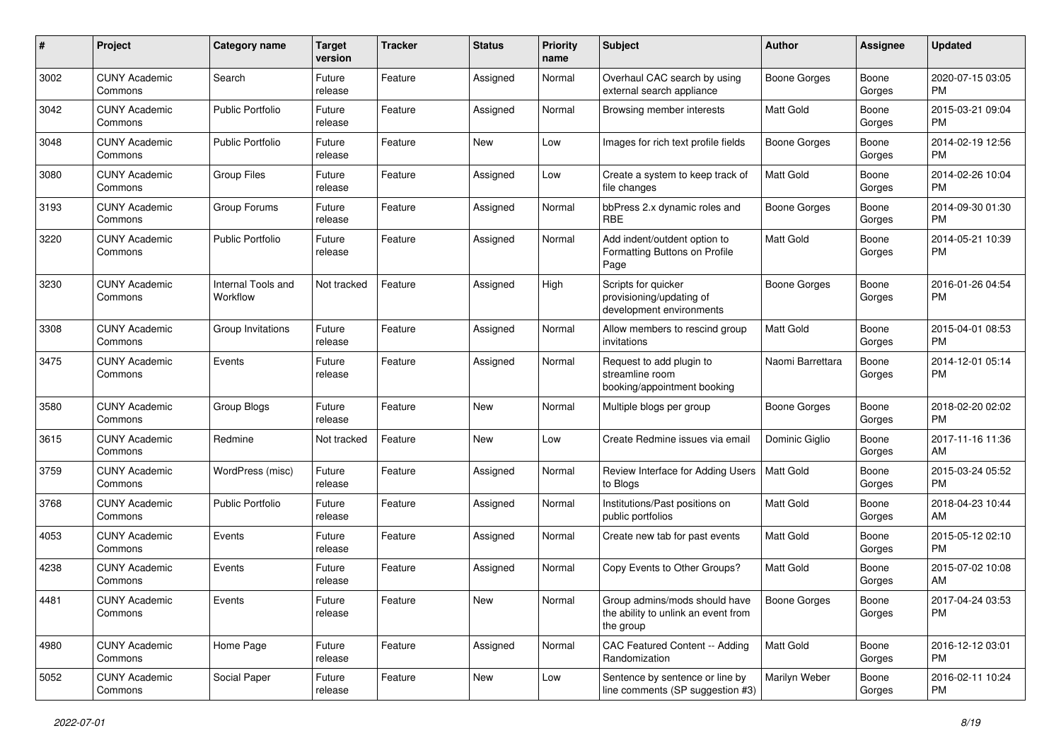| #    | Project                         | <b>Category name</b>           | <b>Target</b><br>version | <b>Tracker</b> | <b>Status</b> | Priority<br>name | <b>Subject</b>                                                                    | Author              | <b>Assignee</b> | <b>Updated</b>                |
|------|---------------------------------|--------------------------------|--------------------------|----------------|---------------|------------------|-----------------------------------------------------------------------------------|---------------------|-----------------|-------------------------------|
| 3002 | <b>CUNY Academic</b><br>Commons | Search                         | Future<br>release        | Feature        | Assigned      | Normal           | Overhaul CAC search by using<br>external search appliance                         | <b>Boone Gorges</b> | Boone<br>Gorges | 2020-07-15 03:05<br><b>PM</b> |
| 3042 | <b>CUNY Academic</b><br>Commons | <b>Public Portfolio</b>        | Future<br>release        | Feature        | Assigned      | Normal           | Browsing member interests                                                         | Matt Gold           | Boone<br>Gorges | 2015-03-21 09:04<br><b>PM</b> |
| 3048 | <b>CUNY Academic</b><br>Commons | <b>Public Portfolio</b>        | Future<br>release        | Feature        | <b>New</b>    | Low              | Images for rich text profile fields                                               | <b>Boone Gorges</b> | Boone<br>Gorges | 2014-02-19 12:56<br><b>PM</b> |
| 3080 | <b>CUNY Academic</b><br>Commons | <b>Group Files</b>             | Future<br>release        | Feature        | Assigned      | Low              | Create a system to keep track of<br>file changes                                  | Matt Gold           | Boone<br>Gorges | 2014-02-26 10:04<br><b>PM</b> |
| 3193 | <b>CUNY Academic</b><br>Commons | Group Forums                   | Future<br>release        | Feature        | Assigned      | Normal           | bbPress 2.x dynamic roles and<br><b>RBE</b>                                       | <b>Boone Gorges</b> | Boone<br>Gorges | 2014-09-30 01:30<br><b>PM</b> |
| 3220 | <b>CUNY Academic</b><br>Commons | <b>Public Portfolio</b>        | Future<br>release        | Feature        | Assigned      | Normal           | Add indent/outdent option to<br>Formatting Buttons on Profile<br>Page             | Matt Gold           | Boone<br>Gorges | 2014-05-21 10:39<br>PM        |
| 3230 | <b>CUNY Academic</b><br>Commons | Internal Tools and<br>Workflow | Not tracked              | Feature        | Assigned      | High             | Scripts for quicker<br>provisioning/updating of<br>development environments       | <b>Boone Gorges</b> | Boone<br>Gorges | 2016-01-26 04:54<br><b>PM</b> |
| 3308 | <b>CUNY Academic</b><br>Commons | Group Invitations              | Future<br>release        | Feature        | Assigned      | Normal           | Allow members to rescind group<br>invitations                                     | Matt Gold           | Boone<br>Gorges | 2015-04-01 08:53<br><b>PM</b> |
| 3475 | <b>CUNY Academic</b><br>Commons | Events                         | Future<br>release        | Feature        | Assigned      | Normal           | Request to add plugin to<br>streamline room<br>booking/appointment booking        | Naomi Barrettara    | Boone<br>Gorges | 2014-12-01 05:14<br><b>PM</b> |
| 3580 | <b>CUNY Academic</b><br>Commons | Group Blogs                    | Future<br>release        | Feature        | <b>New</b>    | Normal           | Multiple blogs per group                                                          | <b>Boone Gorges</b> | Boone<br>Gorges | 2018-02-20 02:02<br><b>PM</b> |
| 3615 | <b>CUNY Academic</b><br>Commons | Redmine                        | Not tracked              | Feature        | <b>New</b>    | Low              | Create Redmine issues via email                                                   | Dominic Giglio      | Boone<br>Gorges | 2017-11-16 11:36<br>AM        |
| 3759 | <b>CUNY Academic</b><br>Commons | WordPress (misc)               | Future<br>release        | Feature        | Assigned      | Normal           | Review Interface for Adding Users<br>to Blogs                                     | <b>Matt Gold</b>    | Boone<br>Gorges | 2015-03-24 05:52<br><b>PM</b> |
| 3768 | <b>CUNY Academic</b><br>Commons | <b>Public Portfolio</b>        | Future<br>release        | Feature        | Assigned      | Normal           | Institutions/Past positions on<br>public portfolios                               | Matt Gold           | Boone<br>Gorges | 2018-04-23 10:44<br>AM        |
| 4053 | <b>CUNY Academic</b><br>Commons | Events                         | Future<br>release        | Feature        | Assigned      | Normal           | Create new tab for past events                                                    | Matt Gold           | Boone<br>Gorges | 2015-05-12 02:10<br><b>PM</b> |
| 4238 | <b>CUNY Academic</b><br>Commons | Events                         | Future<br>release        | Feature        | Assigned      | Normal           | Copy Events to Other Groups?                                                      | <b>Matt Gold</b>    | Boone<br>Gorges | 2015-07-02 10:08<br>AM        |
| 4481 | <b>CUNY Academic</b><br>Commons | Events                         | Future<br>release        | Feature        | New           | Normal           | Group admins/mods should have<br>the ability to unlink an event from<br>the group | Boone Gorges        | Boone<br>Gorges | 2017-04-24 03:53<br><b>PM</b> |
| 4980 | <b>CUNY Academic</b><br>Commons | Home Page                      | Future<br>release        | Feature        | Assigned      | Normal           | CAC Featured Content -- Adding<br><b>Randomization</b>                            | <b>Matt Gold</b>    | Boone<br>Gorges | 2016-12-12 03:01<br><b>PM</b> |
| 5052 | <b>CUNY Academic</b><br>Commons | Social Paper                   | Future<br>release        | Feature        | New           | Low              | Sentence by sentence or line by<br>line comments (SP suggestion #3)               | Marilyn Weber       | Boone<br>Gorges | 2016-02-11 10:24<br><b>PM</b> |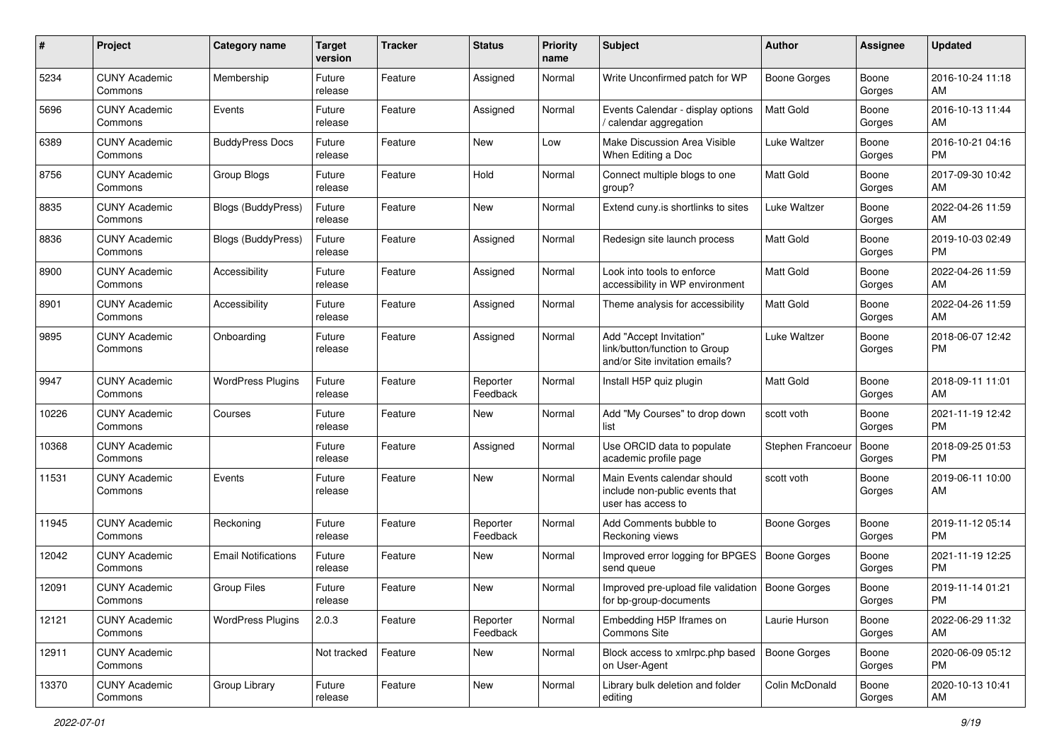| #     | Project                         | <b>Category name</b>       | <b>Target</b><br>version | <b>Tracker</b> | <b>Status</b>        | <b>Priority</b><br>name | <b>Subject</b>                                                                             | <b>Author</b>       | <b>Assignee</b> | <b>Updated</b>                |
|-------|---------------------------------|----------------------------|--------------------------|----------------|----------------------|-------------------------|--------------------------------------------------------------------------------------------|---------------------|-----------------|-------------------------------|
| 5234  | <b>CUNY Academic</b><br>Commons | Membership                 | Future<br>release        | Feature        | Assigned             | Normal                  | Write Unconfirmed patch for WP                                                             | Boone Gorges        | Boone<br>Gorges | 2016-10-24 11:18<br>AM        |
| 5696  | <b>CUNY Academic</b><br>Commons | Events                     | Future<br>release        | Feature        | Assigned             | Normal                  | Events Calendar - display options<br>/ calendar aggregation                                | <b>Matt Gold</b>    | Boone<br>Gorges | 2016-10-13 11:44<br>AM        |
| 6389  | <b>CUNY Academic</b><br>Commons | <b>BuddyPress Docs</b>     | Future<br>release        | Feature        | New                  | Low                     | Make Discussion Area Visible<br>When Editing a Doc                                         | Luke Waltzer        | Boone<br>Gorges | 2016-10-21 04:16<br><b>PM</b> |
| 8756  | <b>CUNY Academic</b><br>Commons | Group Blogs                | Future<br>release        | Feature        | Hold                 | Normal                  | Connect multiple blogs to one<br>group?                                                    | <b>Matt Gold</b>    | Boone<br>Gorges | 2017-09-30 10:42<br>AM        |
| 8835  | <b>CUNY Academic</b><br>Commons | Blogs (BuddyPress)         | Future<br>release        | Feature        | New                  | Normal                  | Extend cuny.is shortlinks to sites                                                         | Luke Waltzer        | Boone<br>Gorges | 2022-04-26 11:59<br>AM        |
| 8836  | <b>CUNY Academic</b><br>Commons | <b>Blogs (BuddyPress)</b>  | Future<br>release        | Feature        | Assigned             | Normal                  | Redesign site launch process                                                               | <b>Matt Gold</b>    | Boone<br>Gorges | 2019-10-03 02:49<br><b>PM</b> |
| 8900  | <b>CUNY Academic</b><br>Commons | Accessibility              | Future<br>release        | Feature        | Assigned             | Normal                  | Look into tools to enforce<br>accessibility in WP environment                              | Matt Gold           | Boone<br>Gorges | 2022-04-26 11:59<br>AM        |
| 8901  | <b>CUNY Academic</b><br>Commons | Accessibility              | Future<br>release        | Feature        | Assigned             | Normal                  | Theme analysis for accessibility                                                           | <b>Matt Gold</b>    | Boone<br>Gorges | 2022-04-26 11:59<br>AM        |
| 9895  | <b>CUNY Academic</b><br>Commons | Onboarding                 | Future<br>release        | Feature        | Assigned             | Normal                  | Add "Accept Invitation"<br>link/button/function to Group<br>and/or Site invitation emails? | <b>Luke Waltzer</b> | Boone<br>Gorges | 2018-06-07 12:42<br><b>PM</b> |
| 9947  | <b>CUNY Academic</b><br>Commons | <b>WordPress Plugins</b>   | Future<br>release        | Feature        | Reporter<br>Feedback | Normal                  | Install H5P quiz plugin                                                                    | Matt Gold           | Boone<br>Gorges | 2018-09-11 11:01<br>AM        |
| 10226 | <b>CUNY Academic</b><br>Commons | Courses                    | Future<br>release        | Feature        | New                  | Normal                  | Add "My Courses" to drop down<br>list                                                      | scott voth          | Boone<br>Gorges | 2021-11-19 12:42<br><b>PM</b> |
| 10368 | <b>CUNY Academic</b><br>Commons |                            | Future<br>release        | Feature        | Assigned             | Normal                  | Use ORCID data to populate<br>academic profile page                                        | Stephen Francoeu    | Boone<br>Gorges | 2018-09-25 01:53<br><b>PM</b> |
| 11531 | <b>CUNY Academic</b><br>Commons | Events                     | Future<br>release        | Feature        | New                  | Normal                  | Main Events calendar should<br>include non-public events that<br>user has access to        | scott voth          | Boone<br>Gorges | 2019-06-11 10:00<br>AM        |
| 11945 | <b>CUNY Academic</b><br>Commons | Reckoning                  | Future<br>release        | Feature        | Reporter<br>Feedback | Normal                  | Add Comments bubble to<br>Reckoning views                                                  | <b>Boone Gorges</b> | Boone<br>Gorges | 2019-11-12 05:14<br>PM.       |
| 12042 | <b>CUNY Academic</b><br>Commons | <b>Email Notifications</b> | Future<br>release        | Feature        | New                  | Normal                  | Improved error logging for BPGES   Boone Gorges<br>send queue                              |                     | Boone<br>Gorges | 2021-11-19 12:25<br><b>PM</b> |
| 12091 | <b>CUNY Academic</b><br>Commons | <b>Group Files</b>         | Future<br>release        | Feature        | New                  | Normal                  | Improved pre-upload file validation   Boone Gorges<br>for bp-group-documents               |                     | Boone<br>Gorges | 2019-11-14 01:21<br>PM        |
| 12121 | <b>CUNY Academic</b><br>Commons | <b>WordPress Plugins</b>   | 2.0.3                    | Feature        | Reporter<br>Feedback | Normal                  | Embedding H5P Iframes on<br>Commons Site                                                   | Laurie Hurson       | Boone<br>Gorges | 2022-06-29 11:32<br>AM        |
| 12911 | <b>CUNY Academic</b><br>Commons |                            | Not tracked              | Feature        | New                  | Normal                  | Block access to xmlrpc.php based<br>on User-Agent                                          | Boone Gorges        | Boone<br>Gorges | 2020-06-09 05:12<br>PM        |
| 13370 | <b>CUNY Academic</b><br>Commons | Group Library              | Future<br>release        | Feature        | New                  | Normal                  | Library bulk deletion and folder<br>editing                                                | Colin McDonald      | Boone<br>Gorges | 2020-10-13 10:41<br>AM        |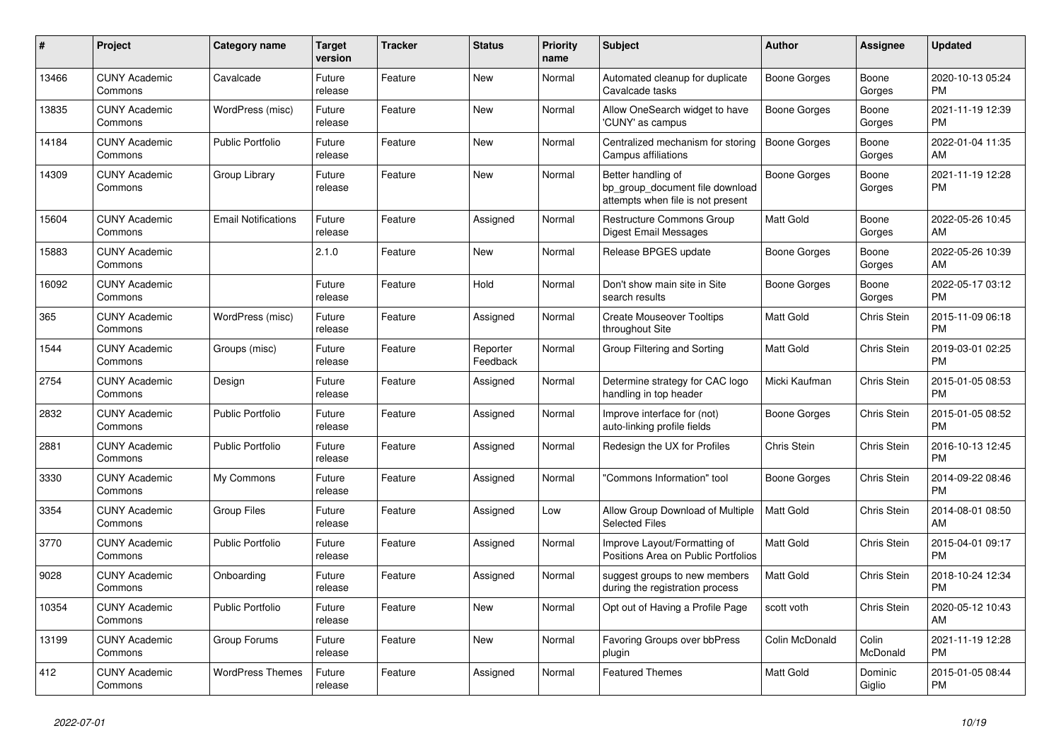| #     | <b>Project</b>                  | Category name              | <b>Target</b><br>version | <b>Tracker</b> | <b>Status</b>        | <b>Priority</b><br>name | <b>Subject</b>                                                                             | <b>Author</b>    | <b>Assignee</b>    | <b>Updated</b>                |
|-------|---------------------------------|----------------------------|--------------------------|----------------|----------------------|-------------------------|--------------------------------------------------------------------------------------------|------------------|--------------------|-------------------------------|
| 13466 | <b>CUNY Academic</b><br>Commons | Cavalcade                  | Future<br>release        | Feature        | New                  | Normal                  | Automated cleanup for duplicate<br>Cavalcade tasks                                         | Boone Gorges     | Boone<br>Gorges    | 2020-10-13 05:24<br><b>PM</b> |
| 13835 | <b>CUNY Academic</b><br>Commons | WordPress (misc)           | Future<br>release        | Feature        | New                  | Normal                  | Allow OneSearch widget to have<br>'CUNY' as campus                                         | Boone Gorges     | Boone<br>Gorges    | 2021-11-19 12:39<br><b>PM</b> |
| 14184 | <b>CUNY Academic</b><br>Commons | <b>Public Portfolio</b>    | Future<br>release        | Feature        | <b>New</b>           | Normal                  | Centralized mechanism for storing<br>Campus affiliations                                   | Boone Gorges     | Boone<br>Gorges    | 2022-01-04 11:35<br>AM        |
| 14309 | <b>CUNY Academic</b><br>Commons | Group Library              | Future<br>release        | Feature        | <b>New</b>           | Normal                  | Better handling of<br>bp_group_document file download<br>attempts when file is not present | Boone Gorges     | Boone<br>Gorges    | 2021-11-19 12:28<br><b>PM</b> |
| 15604 | <b>CUNY Academic</b><br>Commons | <b>Email Notifications</b> | Future<br>release        | Feature        | Assigned             | Normal                  | Restructure Commons Group<br>Digest Email Messages                                         | Matt Gold        | Boone<br>Gorges    | 2022-05-26 10:45<br>AM        |
| 15883 | <b>CUNY Academic</b><br>Commons |                            | 2.1.0                    | Feature        | <b>New</b>           | Normal                  | Release BPGES update                                                                       | Boone Gorges     | Boone<br>Gorges    | 2022-05-26 10:39<br>AM        |
| 16092 | <b>CUNY Academic</b><br>Commons |                            | Future<br>release        | Feature        | Hold                 | Normal                  | Don't show main site in Site<br>search results                                             | Boone Gorges     | Boone<br>Gorges    | 2022-05-17 03:12<br><b>PM</b> |
| 365   | <b>CUNY Academic</b><br>Commons | WordPress (misc)           | Future<br>release        | Feature        | Assigned             | Normal                  | <b>Create Mouseover Tooltips</b><br>throughout Site                                        | <b>Matt Gold</b> | Chris Stein        | 2015-11-09 06:18<br><b>PM</b> |
| 1544  | <b>CUNY Academic</b><br>Commons | Groups (misc)              | Future<br>release        | Feature        | Reporter<br>Feedback | Normal                  | Group Filtering and Sorting                                                                | <b>Matt Gold</b> | <b>Chris Stein</b> | 2019-03-01 02:25<br><b>PM</b> |
| 2754  | <b>CUNY Academic</b><br>Commons | Design                     | Future<br>release        | Feature        | Assigned             | Normal                  | Determine strategy for CAC logo<br>handling in top header                                  | Micki Kaufman    | Chris Stein        | 2015-01-05 08:53<br><b>PM</b> |
| 2832  | <b>CUNY Academic</b><br>Commons | <b>Public Portfolio</b>    | Future<br>release        | Feature        | Assigned             | Normal                  | Improve interface for (not)<br>auto-linking profile fields                                 | Boone Gorges     | Chris Stein        | 2015-01-05 08:52<br><b>PM</b> |
| 2881  | <b>CUNY Academic</b><br>Commons | <b>Public Portfolio</b>    | Future<br>release        | Feature        | Assigned             | Normal                  | Redesign the UX for Profiles                                                               | Chris Stein      | <b>Chris Stein</b> | 2016-10-13 12:45<br><b>PM</b> |
| 3330  | <b>CUNY Academic</b><br>Commons | My Commons                 | Future<br>release        | Feature        | Assigned             | Normal                  | "Commons Information" tool                                                                 | Boone Gorges     | Chris Stein        | 2014-09-22 08:46<br><b>PM</b> |
| 3354  | <b>CUNY Academic</b><br>Commons | <b>Group Files</b>         | Future<br>release        | Feature        | Assigned             | Low                     | Allow Group Download of Multiple<br><b>Selected Files</b>                                  | <b>Matt Gold</b> | <b>Chris Stein</b> | 2014-08-01 08:50<br>AM        |
| 3770  | <b>CUNY Academic</b><br>Commons | <b>Public Portfolio</b>    | Future<br>release        | Feature        | Assigned             | Normal                  | Improve Layout/Formatting of<br>Positions Area on Public Portfolios                        | <b>Matt Gold</b> | Chris Stein        | 2015-04-01 09:17<br><b>PM</b> |
| 9028  | <b>CUNY Academic</b><br>Commons | Onboarding                 | Future<br>release        | Feature        | Assigned             | Normal                  | suggest groups to new members<br>during the registration process                           | <b>Matt Gold</b> | Chris Stein        | 2018-10-24 12:34<br><b>PM</b> |
| 10354 | <b>CUNY Academic</b><br>Commons | <b>Public Portfolio</b>    | Future<br>release        | Feature        | <b>New</b>           | Normal                  | Opt out of Having a Profile Page                                                           | scott voth       | <b>Chris Stein</b> | 2020-05-12 10:43<br>AM        |
| 13199 | <b>CUNY Academic</b><br>Commons | Group Forums               | Future<br>release        | Feature        | New                  | Normal                  | Favoring Groups over bbPress<br>plugin                                                     | Colin McDonald   | Colin<br>McDonald  | 2021-11-19 12:28<br><b>PM</b> |
| 412   | <b>CUNY Academic</b><br>Commons | <b>WordPress Themes</b>    | Future<br>release        | Feature        | Assigned             | Normal                  | <b>Featured Themes</b>                                                                     | <b>Matt Gold</b> | Dominic<br>Giglio  | 2015-01-05 08:44<br><b>PM</b> |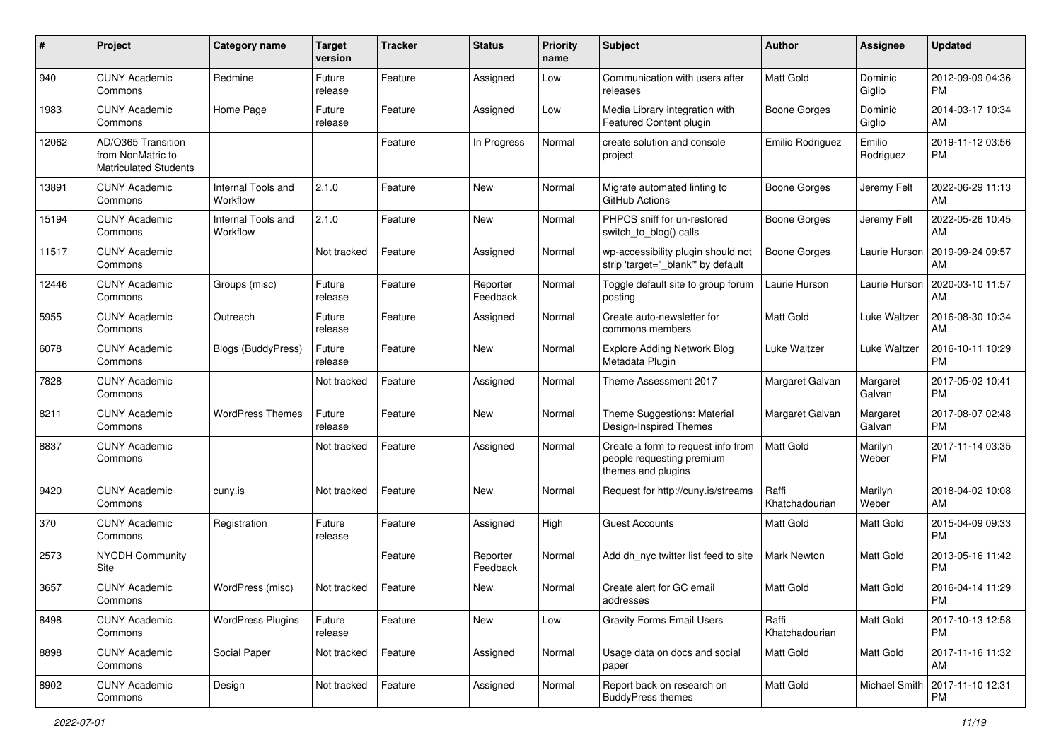| #     | Project                                                                 | <b>Category name</b>           | <b>Target</b><br>version | <b>Tracker</b> | <b>Status</b>        | <b>Priority</b><br>name | <b>Subject</b>                                                                        | Author                  | <b>Assignee</b>     | <b>Updated</b>                |
|-------|-------------------------------------------------------------------------|--------------------------------|--------------------------|----------------|----------------------|-------------------------|---------------------------------------------------------------------------------------|-------------------------|---------------------|-------------------------------|
| 940   | <b>CUNY Academic</b><br>Commons                                         | Redmine                        | Future<br>release        | Feature        | Assigned             | Low                     | Communication with users after<br>releases                                            | <b>Matt Gold</b>        | Dominic<br>Giglio   | 2012-09-09 04:36<br><b>PM</b> |
| 1983  | <b>CUNY Academic</b><br>Commons                                         | Home Page                      | Future<br>release        | Feature        | Assigned             | Low                     | Media Library integration with<br>Featured Content plugin                             | <b>Boone Gorges</b>     | Dominic<br>Giglio   | 2014-03-17 10:34<br>AM        |
| 12062 | AD/O365 Transition<br>from NonMatric to<br><b>Matriculated Students</b> |                                |                          | Feature        | In Progress          | Normal                  | create solution and console<br>project                                                | Emilio Rodriguez        | Emilio<br>Rodriguez | 2019-11-12 03:56<br><b>PM</b> |
| 13891 | <b>CUNY Academic</b><br>Commons                                         | Internal Tools and<br>Workflow | 2.1.0                    | Feature        | New                  | Normal                  | Migrate automated linting to<br>GitHub Actions                                        | Boone Gorges            | Jeremy Felt         | 2022-06-29 11:13<br>AM        |
| 15194 | <b>CUNY Academic</b><br>Commons                                         | Internal Tools and<br>Workflow | 2.1.0                    | Feature        | <b>New</b>           | Normal                  | PHPCS sniff for un-restored<br>switch_to_blog() calls                                 | Boone Gorges            | Jeremy Felt         | 2022-05-26 10:45<br>AM        |
| 11517 | <b>CUNY Academic</b><br>Commons                                         |                                | Not tracked              | Feature        | Assigned             | Normal                  | wp-accessibility plugin should not<br>strip 'target="_blank"' by default              | Boone Gorges            | Laurie Hurson       | 2019-09-24 09:57<br>AM        |
| 12446 | <b>CUNY Academic</b><br>Commons                                         | Groups (misc)                  | Future<br>release        | Feature        | Reporter<br>Feedback | Normal                  | Toggle default site to group forum<br>posting                                         | Laurie Hurson           | Laurie Hurson       | 2020-03-10 11:57<br>AM        |
| 5955  | <b>CUNY Academic</b><br>Commons                                         | Outreach                       | Future<br>release        | Feature        | Assigned             | Normal                  | Create auto-newsletter for<br>commons members                                         | Matt Gold               | Luke Waltzer        | 2016-08-30 10:34<br>AM        |
| 6078  | <b>CUNY Academic</b><br>Commons                                         | Blogs (BuddyPress)             | Future<br>release        | Feature        | <b>New</b>           | Normal                  | <b>Explore Adding Network Blog</b><br>Metadata Plugin                                 | Luke Waltzer            | Luke Waltzer        | 2016-10-11 10:29<br><b>PM</b> |
| 7828  | <b>CUNY Academic</b><br>Commons                                         |                                | Not tracked              | Feature        | Assigned             | Normal                  | Theme Assessment 2017                                                                 | Margaret Galvan         | Margaret<br>Galvan  | 2017-05-02 10:41<br><b>PM</b> |
| 8211  | <b>CUNY Academic</b><br>Commons                                         | <b>WordPress Themes</b>        | Future<br>release        | Feature        | <b>New</b>           | Normal                  | Theme Suggestions: Material<br>Design-Inspired Themes                                 | Margaret Galvan         | Margaret<br>Galvan  | 2017-08-07 02:48<br><b>PM</b> |
| 8837  | <b>CUNY Academic</b><br>Commons                                         |                                | Not tracked              | Feature        | Assigned             | Normal                  | Create a form to request info from<br>people requesting premium<br>themes and plugins | <b>Matt Gold</b>        | Marilyn<br>Weber    | 2017-11-14 03:35<br><b>PM</b> |
| 9420  | <b>CUNY Academic</b><br>Commons                                         | cuny.is                        | Not tracked              | Feature        | <b>New</b>           | Normal                  | Request for http://cuny.is/streams                                                    | Raffi<br>Khatchadourian | Marilyn<br>Weber    | 2018-04-02 10:08<br>AM        |
| 370   | <b>CUNY Academic</b><br>Commons                                         | Registration                   | Future<br>release        | Feature        | Assigned             | High                    | <b>Guest Accounts</b>                                                                 | Matt Gold               | Matt Gold           | 2015-04-09 09:33<br><b>PM</b> |
| 2573  | NYCDH Community<br>Site                                                 |                                |                          | Feature        | Reporter<br>Feedback | Normal                  | Add dh nyc twitter list feed to site                                                  | Mark Newton             | Matt Gold           | 2013-05-16 11:42<br><b>PM</b> |
| 3657  | <b>CUNY Academic</b><br>Commons                                         | WordPress (misc)               | Not tracked              | Feature        | New                  | Normal                  | Create alert for GC email<br>addresses                                                | <b>Matt Gold</b>        | Matt Gold           | 2016-04-14 11:29<br>PM        |
| 8498  | <b>CUNY Academic</b><br>Commons                                         | <b>WordPress Plugins</b>       | Future<br>release        | Feature        | New                  | Low                     | <b>Gravity Forms Email Users</b>                                                      | Raffi<br>Khatchadourian | <b>Matt Gold</b>    | 2017-10-13 12:58<br><b>PM</b> |
| 8898  | <b>CUNY Academic</b><br>Commons                                         | Social Paper                   | Not tracked              | Feature        | Assigned             | Normal                  | Usage data on docs and social<br>paper                                                | Matt Gold               | Matt Gold           | 2017-11-16 11:32<br>AM        |
| 8902  | <b>CUNY Academic</b><br>Commons                                         | Design                         | Not tracked              | Feature        | Assigned             | Normal                  | Report back on research on<br><b>BuddyPress themes</b>                                | Matt Gold               | Michael Smith       | 2017-11-10 12:31<br><b>PM</b> |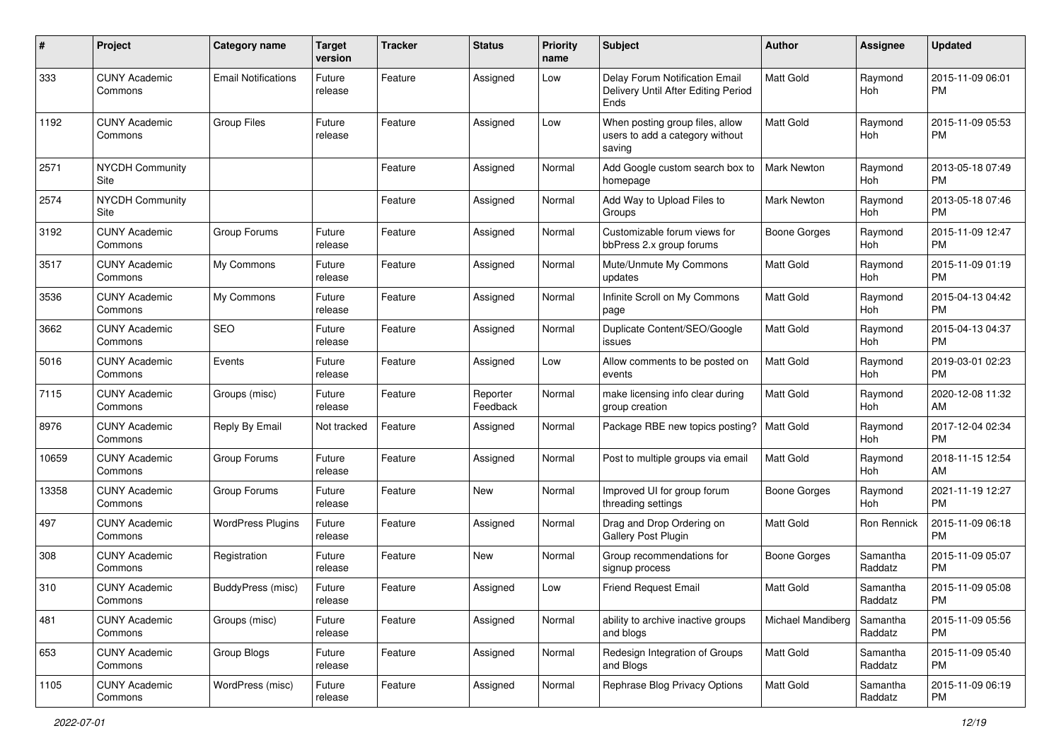| #     | Project                         | <b>Category name</b>       | <b>Target</b><br>version | Tracker | <b>Status</b>        | <b>Priority</b><br>name | Subject                                                                       | Author              | Assignee            | <b>Updated</b>                |
|-------|---------------------------------|----------------------------|--------------------------|---------|----------------------|-------------------------|-------------------------------------------------------------------------------|---------------------|---------------------|-------------------------------|
| 333   | <b>CUNY Academic</b><br>Commons | <b>Email Notifications</b> | Future<br>release        | Feature | Assigned             | Low                     | Delay Forum Notification Email<br>Delivery Until After Editing Period<br>Ends | <b>Matt Gold</b>    | Raymond<br>Hoh      | 2015-11-09 06:01<br><b>PM</b> |
| 1192  | <b>CUNY Academic</b><br>Commons | <b>Group Files</b>         | Future<br>release        | Feature | Assigned             | Low                     | When posting group files, allow<br>users to add a category without<br>saving  | <b>Matt Gold</b>    | Raymond<br>Hoh      | 2015-11-09 05:53<br><b>PM</b> |
| 2571  | <b>NYCDH Community</b><br>Site  |                            |                          | Feature | Assigned             | Normal                  | Add Google custom search box to<br>homepage                                   | <b>Mark Newton</b>  | Raymond<br>Hoh      | 2013-05-18 07:49<br><b>PM</b> |
| 2574  | <b>NYCDH Community</b><br>Site  |                            |                          | Feature | Assigned             | Normal                  | Add Way to Upload Files to<br>Groups                                          | <b>Mark Newton</b>  | Raymond<br>Hoh      | 2013-05-18 07:46<br><b>PM</b> |
| 3192  | <b>CUNY Academic</b><br>Commons | Group Forums               | Future<br>release        | Feature | Assigned             | Normal                  | Customizable forum views for<br>bbPress 2.x group forums                      | Boone Gorges        | Raymond<br>Hoh      | 2015-11-09 12:47<br><b>PM</b> |
| 3517  | <b>CUNY Academic</b><br>Commons | My Commons                 | Future<br>release        | Feature | Assigned             | Normal                  | Mute/Unmute My Commons<br>updates                                             | <b>Matt Gold</b>    | Raymond<br>Hoh      | 2015-11-09 01:19<br><b>PM</b> |
| 3536  | <b>CUNY Academic</b><br>Commons | My Commons                 | Future<br>release        | Feature | Assigned             | Normal                  | Infinite Scroll on My Commons<br>page                                         | <b>Matt Gold</b>    | Raymond<br>Hoh      | 2015-04-13 04:42<br><b>PM</b> |
| 3662  | <b>CUNY Academic</b><br>Commons | <b>SEO</b>                 | Future<br>release        | Feature | Assigned             | Normal                  | Duplicate Content/SEO/Google<br>issues                                        | Matt Gold           | Raymond<br>Hoh      | 2015-04-13 04:37<br><b>PM</b> |
| 5016  | <b>CUNY Academic</b><br>Commons | Events                     | Future<br>release        | Feature | Assigned             | Low                     | Allow comments to be posted on<br>events                                      | <b>Matt Gold</b>    | Raymond<br>Hoh      | 2019-03-01 02:23<br><b>PM</b> |
| 7115  | <b>CUNY Academic</b><br>Commons | Groups (misc)              | Future<br>release        | Feature | Reporter<br>Feedback | Normal                  | make licensing info clear during<br>group creation                            | <b>Matt Gold</b>    | Raymond<br>Hoh      | 2020-12-08 11:32<br>AM        |
| 8976  | <b>CUNY Academic</b><br>Commons | Reply By Email             | Not tracked              | Feature | Assigned             | Normal                  | Package RBE new topics posting?                                               | Matt Gold           | Raymond<br>Hoh      | 2017-12-04 02:34<br><b>PM</b> |
| 10659 | <b>CUNY Academic</b><br>Commons | Group Forums               | Future<br>release        | Feature | Assigned             | Normal                  | Post to multiple groups via email                                             | Matt Gold           | Raymond<br>Hoh      | 2018-11-15 12:54<br>AM        |
| 13358 | <b>CUNY Academic</b><br>Commons | Group Forums               | Future<br>release        | Feature | New                  | Normal                  | Improved UI for group forum<br>threading settings                             | <b>Boone Gorges</b> | Raymond<br>Hoh      | 2021-11-19 12:27<br><b>PM</b> |
| 497   | <b>CUNY Academic</b><br>Commons | <b>WordPress Plugins</b>   | Future<br>release        | Feature | Assigned             | Normal                  | Drag and Drop Ordering on<br>Gallery Post Plugin                              | <b>Matt Gold</b>    | Ron Rennick         | 2015-11-09 06:18<br><b>PM</b> |
| 308   | <b>CUNY Academic</b><br>Commons | Registration               | Future<br>release        | Feature | New                  | Normal                  | Group recommendations for<br>signup process                                   | <b>Boone Gorges</b> | Samantha<br>Raddatz | 2015-11-09 05:07<br><b>PM</b> |
| 310   | <b>CUNY Academic</b><br>Commons | BuddyPress (misc)          | Future<br>release        | Feature | Assigned             | Low                     | <b>Friend Request Email</b>                                                   | <b>Matt Gold</b>    | Samantha<br>Raddatz | 2015-11-09 05:08<br>PM        |
| 481   | <b>CUNY Academic</b><br>Commons | Groups (misc)              | Future<br>release        | Feature | Assigned             | Normal                  | ability to archive inactive groups<br>and blogs                               | Michael Mandiberg   | Samantha<br>Raddatz | 2015-11-09 05:56<br>PM        |
| 653   | <b>CUNY Academic</b><br>Commons | Group Blogs                | Future<br>release        | Feature | Assigned             | Normal                  | Redesign Integration of Groups<br>and Blogs                                   | Matt Gold           | Samantha<br>Raddatz | 2015-11-09 05:40<br>PM        |
| 1105  | <b>CUNY Academic</b><br>Commons | WordPress (misc)           | Future<br>release        | Feature | Assigned             | Normal                  | Rephrase Blog Privacy Options                                                 | Matt Gold           | Samantha<br>Raddatz | 2015-11-09 06:19<br><b>PM</b> |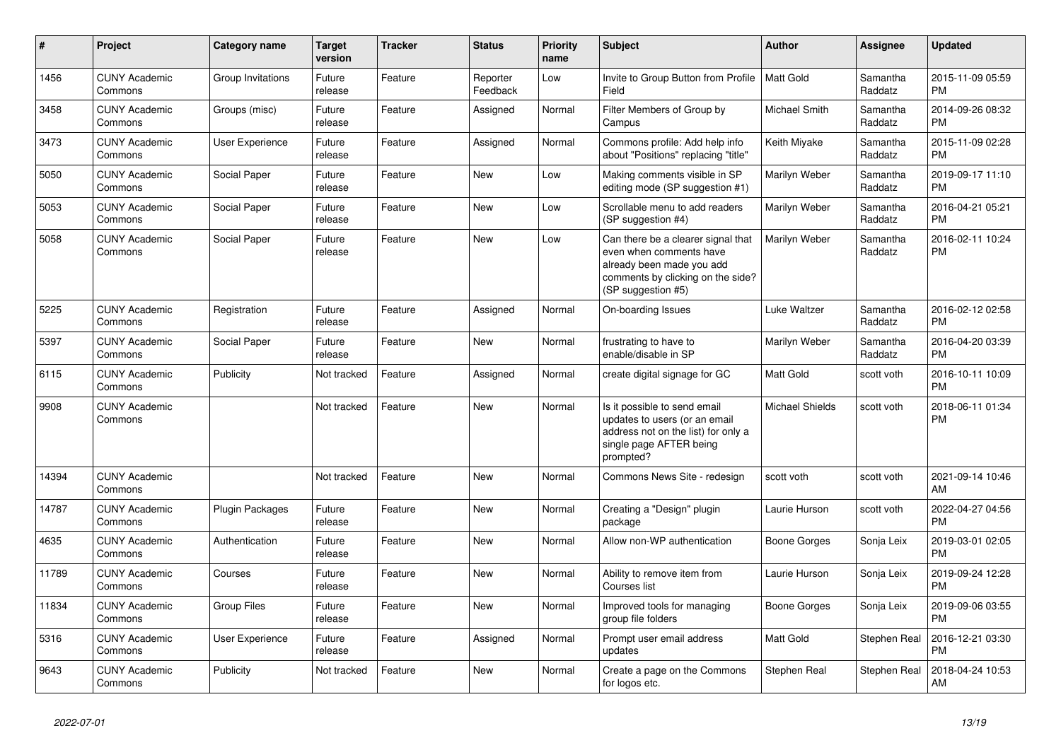| $\pmb{\#}$ | <b>Project</b>                  | Category name          | <b>Target</b><br>version | <b>Tracker</b> | <b>Status</b>        | <b>Priority</b><br>name | <b>Subject</b>                                                                                                                                        | <b>Author</b>    | Assignee            | <b>Updated</b>                |
|------------|---------------------------------|------------------------|--------------------------|----------------|----------------------|-------------------------|-------------------------------------------------------------------------------------------------------------------------------------------------------|------------------|---------------------|-------------------------------|
| 1456       | <b>CUNY Academic</b><br>Commons | Group Invitations      | Future<br>release        | Feature        | Reporter<br>Feedback | Low                     | Invite to Group Button from Profile<br>Field                                                                                                          | Matt Gold        | Samantha<br>Raddatz | 2015-11-09 05:59<br><b>PM</b> |
| 3458       | <b>CUNY Academic</b><br>Commons | Groups (misc)          | Future<br>release        | Feature        | Assigned             | Normal                  | Filter Members of Group by<br>Campus                                                                                                                  | Michael Smith    | Samantha<br>Raddatz | 2014-09-26 08:32<br><b>PM</b> |
| 3473       | <b>CUNY Academic</b><br>Commons | <b>User Experience</b> | Future<br>release        | Feature        | Assigned             | Normal                  | Commons profile: Add help info<br>about "Positions" replacing "title"                                                                                 | Keith Miyake     | Samantha<br>Raddatz | 2015-11-09 02:28<br><b>PM</b> |
| 5050       | <b>CUNY Academic</b><br>Commons | Social Paper           | Future<br>release        | Feature        | <b>New</b>           | Low                     | Making comments visible in SP<br>editing mode (SP suggestion #1)                                                                                      | Marilyn Weber    | Samantha<br>Raddatz | 2019-09-17 11:10<br><b>PM</b> |
| 5053       | <b>CUNY Academic</b><br>Commons | Social Paper           | Future<br>release        | Feature        | New                  | Low                     | Scrollable menu to add readers<br>(SP suggestion #4)                                                                                                  | Marilyn Weber    | Samantha<br>Raddatz | 2016-04-21 05:21<br><b>PM</b> |
| 5058       | <b>CUNY Academic</b><br>Commons | Social Paper           | Future<br>release        | Feature        | New                  | Low                     | Can there be a clearer signal that<br>even when comments have<br>already been made you add<br>comments by clicking on the side?<br>(SP suggestion #5) | Marilyn Weber    | Samantha<br>Raddatz | 2016-02-11 10:24<br><b>PM</b> |
| 5225       | <b>CUNY Academic</b><br>Commons | Registration           | Future<br>release        | Feature        | Assigned             | Normal                  | On-boarding Issues                                                                                                                                    | Luke Waltzer     | Samantha<br>Raddatz | 2016-02-12 02:58<br><b>PM</b> |
| 5397       | <b>CUNY Academic</b><br>Commons | Social Paper           | Future<br>release        | Feature        | <b>New</b>           | Normal                  | frustrating to have to<br>enable/disable in SP                                                                                                        | Marilyn Weber    | Samantha<br>Raddatz | 2016-04-20 03:39<br><b>PM</b> |
| 6115       | <b>CUNY Academic</b><br>Commons | Publicity              | Not tracked              | Feature        | Assigned             | Normal                  | create digital signage for GC                                                                                                                         | <b>Matt Gold</b> | scott voth          | 2016-10-11 10:09<br><b>PM</b> |
| 9908       | <b>CUNY Academic</b><br>Commons |                        | Not tracked              | Feature        | New                  | Normal                  | Is it possible to send email<br>updates to users (or an email<br>address not on the list) for only a<br>single page AFTER being<br>prompted?          | Michael Shields  | scott voth          | 2018-06-11 01:34<br><b>PM</b> |
| 14394      | <b>CUNY Academic</b><br>Commons |                        | Not tracked              | Feature        | New                  | Normal                  | Commons News Site - redesign                                                                                                                          | scott voth       | scott voth          | 2021-09-14 10:46<br>AM        |
| 14787      | <b>CUNY Academic</b><br>Commons | Plugin Packages        | Future<br>release        | Feature        | <b>New</b>           | Normal                  | Creating a "Design" plugin<br>package                                                                                                                 | Laurie Hurson    | scott voth          | 2022-04-27 04:56<br><b>PM</b> |
| 4635       | <b>CUNY Academic</b><br>Commons | Authentication         | Future<br>release        | Feature        | <b>New</b>           | Normal                  | Allow non-WP authentication                                                                                                                           | Boone Gorges     | Sonja Leix          | 2019-03-01 02:05<br><b>PM</b> |
| 11789      | <b>CUNY Academic</b><br>Commons | Courses                | Future<br>release        | Feature        | New                  | Normal                  | Ability to remove item from<br>Courses list                                                                                                           | Laurie Hurson    | Sonja Leix          | 2019-09-24 12:28<br><b>PM</b> |
| 11834      | <b>CUNY Academic</b><br>Commons | Group Files            | Future<br>release        | Feature        | New                  | Normal                  | Improved tools for managing<br>group file folders                                                                                                     | Boone Gorges     | Sonja Leix          | 2019-09-06 03:55<br><b>PM</b> |
| 5316       | <b>CUNY Academic</b><br>Commons | User Experience        | Future<br>release        | Feature        | Assigned             | Normal                  | Prompt user email address<br>updates                                                                                                                  | <b>Matt Gold</b> | Stephen Real        | 2016-12-21 03:30<br><b>PM</b> |
| 9643       | <b>CUNY Academic</b><br>Commons | Publicity              | Not tracked              | Feature        | New                  | Normal                  | Create a page on the Commons<br>for logos etc.                                                                                                        | Stephen Real     | Stephen Real        | 2018-04-24 10:53<br>AM        |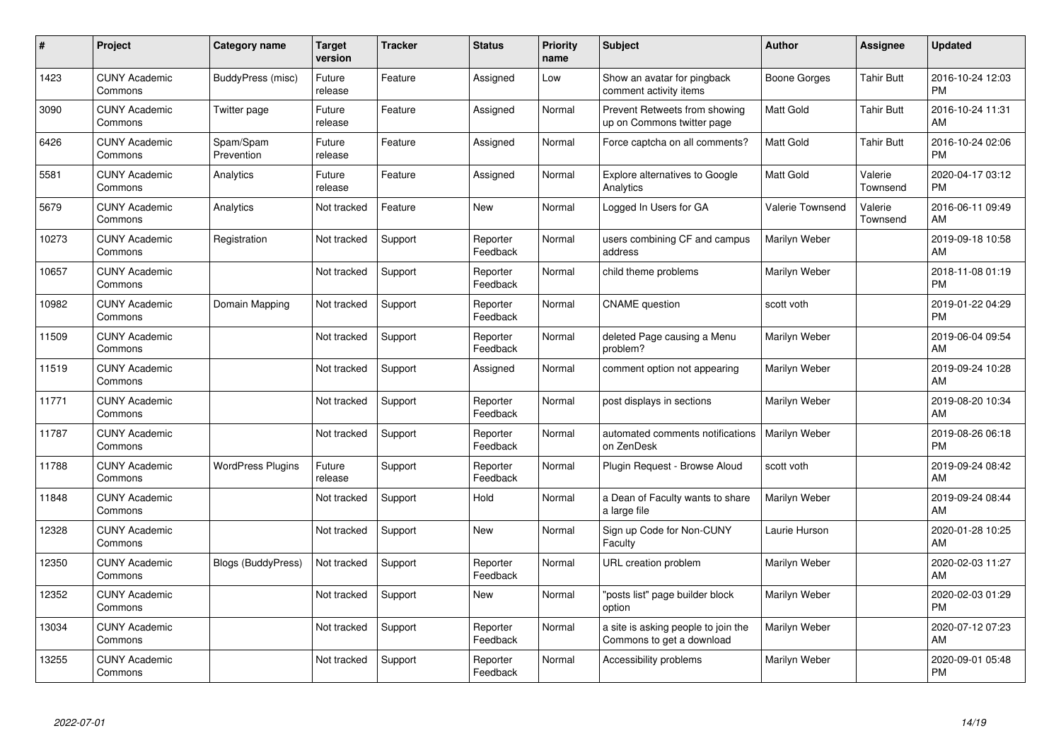| #     | <b>Project</b>                  | Category name             | Target<br>version | <b>Tracker</b> | <b>Status</b>        | <b>Priority</b><br>name | <b>Subject</b>                                                   | <b>Author</b>           | Assignee            | <b>Updated</b>                |
|-------|---------------------------------|---------------------------|-------------------|----------------|----------------------|-------------------------|------------------------------------------------------------------|-------------------------|---------------------|-------------------------------|
| 1423  | <b>CUNY Academic</b><br>Commons | BuddyPress (misc)         | Future<br>release | Feature        | Assigned             | Low                     | Show an avatar for pingback<br>comment activity items            | Boone Gorges            | Tahir Butt          | 2016-10-24 12:03<br><b>PM</b> |
| 3090  | <b>CUNY Academic</b><br>Commons | Twitter page              | Future<br>release | Feature        | Assigned             | Normal                  | Prevent Retweets from showing<br>up on Commons twitter page      | Matt Gold               | Tahir Butt          | 2016-10-24 11:31<br>AM        |
| 6426  | <b>CUNY Academic</b><br>Commons | Spam/Spam<br>Prevention   | Future<br>release | Feature        | Assigned             | Normal                  | Force captcha on all comments?                                   | Matt Gold               | Tahir Butt          | 2016-10-24 02:06<br><b>PM</b> |
| 5581  | <b>CUNY Academic</b><br>Commons | Analytics                 | Future<br>release | Feature        | Assigned             | Normal                  | <b>Explore alternatives to Google</b><br>Analytics               | <b>Matt Gold</b>        | Valerie<br>Townsend | 2020-04-17 03:12<br><b>PM</b> |
| 5679  | <b>CUNY Academic</b><br>Commons | Analytics                 | Not tracked       | Feature        | <b>New</b>           | Normal                  | Logged In Users for GA                                           | <b>Valerie Townsend</b> | Valerie<br>Townsend | 2016-06-11 09:49<br>AM.       |
| 10273 | <b>CUNY Academic</b><br>Commons | Registration              | Not tracked       | Support        | Reporter<br>Feedback | Normal                  | users combining CF and campus<br>address                         | Marilyn Weber           |                     | 2019-09-18 10:58<br><b>AM</b> |
| 10657 | <b>CUNY Academic</b><br>Commons |                           | Not tracked       | Support        | Reporter<br>Feedback | Normal                  | child theme problems                                             | Marilyn Weber           |                     | 2018-11-08 01:19<br><b>PM</b> |
| 10982 | <b>CUNY Academic</b><br>Commons | Domain Mapping            | Not tracked       | Support        | Reporter<br>Feedback | Normal                  | <b>CNAME</b> question                                            | scott voth              |                     | 2019-01-22 04:29<br><b>PM</b> |
| 11509 | <b>CUNY Academic</b><br>Commons |                           | Not tracked       | Support        | Reporter<br>Feedback | Normal                  | deleted Page causing a Menu<br>problem?                          | Marilyn Weber           |                     | 2019-06-04 09:54<br>AM        |
| 11519 | <b>CUNY Academic</b><br>Commons |                           | Not tracked       | Support        | Assigned             | Normal                  | comment option not appearing                                     | Marilyn Weber           |                     | 2019-09-24 10:28<br>AM        |
| 11771 | <b>CUNY Academic</b><br>Commons |                           | Not tracked       | Support        | Reporter<br>Feedback | Normal                  | post displays in sections                                        | Marilyn Weber           |                     | 2019-08-20 10:34<br>AM        |
| 11787 | <b>CUNY Academic</b><br>Commons |                           | Not tracked       | Support        | Reporter<br>Feedback | Normal                  | automated comments notifications<br>on ZenDesk                   | Marilyn Weber           |                     | 2019-08-26 06:18<br><b>PM</b> |
| 11788 | <b>CUNY Academic</b><br>Commons | <b>WordPress Plugins</b>  | Future<br>release | Support        | Reporter<br>Feedback | Normal                  | Plugin Request - Browse Aloud                                    | scott voth              |                     | 2019-09-24 08:42<br>AM        |
| 11848 | <b>CUNY Academic</b><br>Commons |                           | Not tracked       | Support        | Hold                 | Normal                  | a Dean of Faculty wants to share<br>a large file                 | Marilyn Weber           |                     | 2019-09-24 08:44<br>AM        |
| 12328 | <b>CUNY Academic</b><br>Commons |                           | Not tracked       | Support        | New                  | Normal                  | Sign up Code for Non-CUNY<br>Faculty                             | Laurie Hurson           |                     | 2020-01-28 10:25<br>AM        |
| 12350 | <b>CUNY Academic</b><br>Commons | <b>Blogs (BuddyPress)</b> | Not tracked       | Support        | Reporter<br>Feedback | Normal                  | URL creation problem                                             | Marilyn Weber           |                     | 2020-02-03 11:27<br><b>AM</b> |
| 12352 | <b>CUNY Academic</b><br>Commons |                           | Not tracked       | Support        | New                  | Normal                  | "posts list" page builder block<br>option                        | Marilyn Weber           |                     | 2020-02-03 01:29<br><b>PM</b> |
| 13034 | <b>CUNY Academic</b><br>Commons |                           | Not tracked       | Support        | Reporter<br>Feedback | Normal                  | a site is asking people to join the<br>Commons to get a download | Marilyn Weber           |                     | 2020-07-12 07:23<br>AM        |
| 13255 | <b>CUNY Academic</b><br>Commons |                           | Not tracked       | Support        | Reporter<br>Feedback | Normal                  | Accessibility problems                                           | Marilyn Weber           |                     | 2020-09-01 05:48<br>PM        |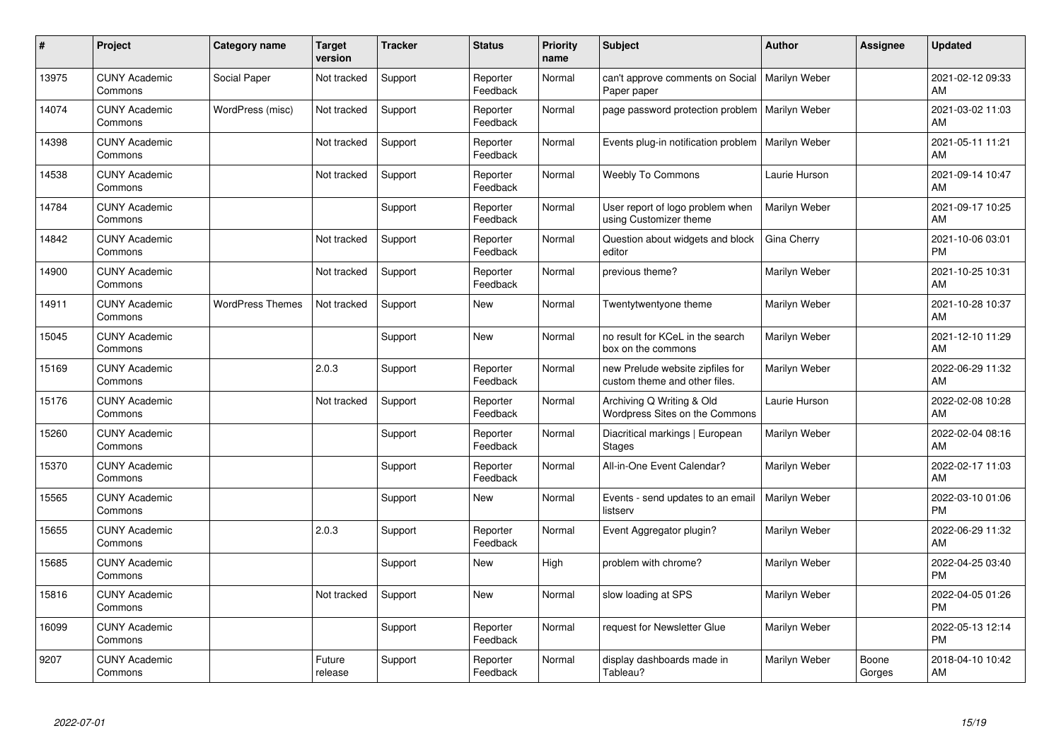| #     | Project                         | <b>Category name</b>    | <b>Target</b><br>version | <b>Tracker</b> | <b>Status</b>        | <b>Priority</b><br>name | <b>Subject</b>                                                    | <b>Author</b> | <b>Assignee</b> | <b>Updated</b>                |
|-------|---------------------------------|-------------------------|--------------------------|----------------|----------------------|-------------------------|-------------------------------------------------------------------|---------------|-----------------|-------------------------------|
| 13975 | <b>CUNY Academic</b><br>Commons | Social Paper            | Not tracked              | Support        | Reporter<br>Feedback | Normal                  | can't approve comments on Social<br>Paper paper                   | Marilyn Weber |                 | 2021-02-12 09:33<br>AM        |
| 14074 | <b>CUNY Academic</b><br>Commons | WordPress (misc)        | Not tracked              | Support        | Reporter<br>Feedback | Normal                  | page password protection problem                                  | Marilyn Weber |                 | 2021-03-02 11:03<br>AM        |
| 14398 | <b>CUNY Academic</b><br>Commons |                         | Not tracked              | Support        | Reporter<br>Feedback | Normal                  | Events plug-in notification problem                               | Marilyn Weber |                 | 2021-05-11 11:21<br>AM        |
| 14538 | <b>CUNY Academic</b><br>Commons |                         | Not tracked              | Support        | Reporter<br>Feedback | Normal                  | <b>Weebly To Commons</b>                                          | Laurie Hurson |                 | 2021-09-14 10:47<br>AM        |
| 14784 | <b>CUNY Academic</b><br>Commons |                         |                          | Support        | Reporter<br>Feedback | Normal                  | User report of logo problem when<br>using Customizer theme        | Marilyn Weber |                 | 2021-09-17 10:25<br>AM        |
| 14842 | <b>CUNY Academic</b><br>Commons |                         | Not tracked              | Support        | Reporter<br>Feedback | Normal                  | Question about widgets and block<br>editor                        | Gina Cherry   |                 | 2021-10-06 03:01<br><b>PM</b> |
| 14900 | <b>CUNY Academic</b><br>Commons |                         | Not tracked              | Support        | Reporter<br>Feedback | Normal                  | previous theme?                                                   | Marilyn Weber |                 | 2021-10-25 10:31<br>AM        |
| 14911 | <b>CUNY Academic</b><br>Commons | <b>WordPress Themes</b> | Not tracked              | Support        | <b>New</b>           | Normal                  | Twentytwentyone theme                                             | Marilyn Weber |                 | 2021-10-28 10:37<br>AM        |
| 15045 | <b>CUNY Academic</b><br>Commons |                         |                          | Support        | New                  | Normal                  | no result for KCeL in the search<br>box on the commons            | Marilyn Weber |                 | 2021-12-10 11:29<br>AM        |
| 15169 | <b>CUNY Academic</b><br>Commons |                         | 2.0.3                    | Support        | Reporter<br>Feedback | Normal                  | new Prelude website zipfiles for<br>custom theme and other files. | Marilyn Weber |                 | 2022-06-29 11:32<br>AM        |
| 15176 | <b>CUNY Academic</b><br>Commons |                         | Not tracked              | Support        | Reporter<br>Feedback | Normal                  | Archiving Q Writing & Old<br>Wordpress Sites on the Commons       | Laurie Hurson |                 | 2022-02-08 10:28<br>AM        |
| 15260 | <b>CUNY Academic</b><br>Commons |                         |                          | Support        | Reporter<br>Feedback | Normal                  | Diacritical markings   European<br><b>Stages</b>                  | Marilyn Weber |                 | 2022-02-04 08:16<br>AM        |
| 15370 | <b>CUNY Academic</b><br>Commons |                         |                          | Support        | Reporter<br>Feedback | Normal                  | All-in-One Event Calendar?                                        | Marilyn Weber |                 | 2022-02-17 11:03<br>AM        |
| 15565 | <b>CUNY Academic</b><br>Commons |                         |                          | Support        | New                  | Normal                  | Events - send updates to an email<br>listserv                     | Marilyn Weber |                 | 2022-03-10 01:06<br><b>PM</b> |
| 15655 | <b>CUNY Academic</b><br>Commons |                         | 2.0.3                    | Support        | Reporter<br>Feedback | Normal                  | Event Aggregator plugin?                                          | Marilyn Weber |                 | 2022-06-29 11:32<br>AM        |
| 15685 | <b>CUNY Academic</b><br>Commons |                         |                          | Support        | New                  | High                    | problem with chrome?                                              | Marilyn Weber |                 | 2022-04-25 03:40<br><b>PM</b> |
| 15816 | <b>CUNY Academic</b><br>Commons |                         | Not tracked              | Support        | New                  | Normal                  | slow loading at SPS                                               | Marilyn Weber |                 | 2022-04-05 01:26<br><b>PM</b> |
| 16099 | <b>CUNY Academic</b><br>Commons |                         |                          | Support        | Reporter<br>Feedback | Normal                  | request for Newsletter Glue                                       | Marilyn Weber |                 | 2022-05-13 12:14<br><b>PM</b> |
| 9207  | <b>CUNY Academic</b><br>Commons |                         | Future<br>release        | Support        | Reporter<br>Feedback | Normal                  | display dashboards made in<br>Tableau?                            | Marilyn Weber | Boone<br>Gorges | 2018-04-10 10:42<br>AM        |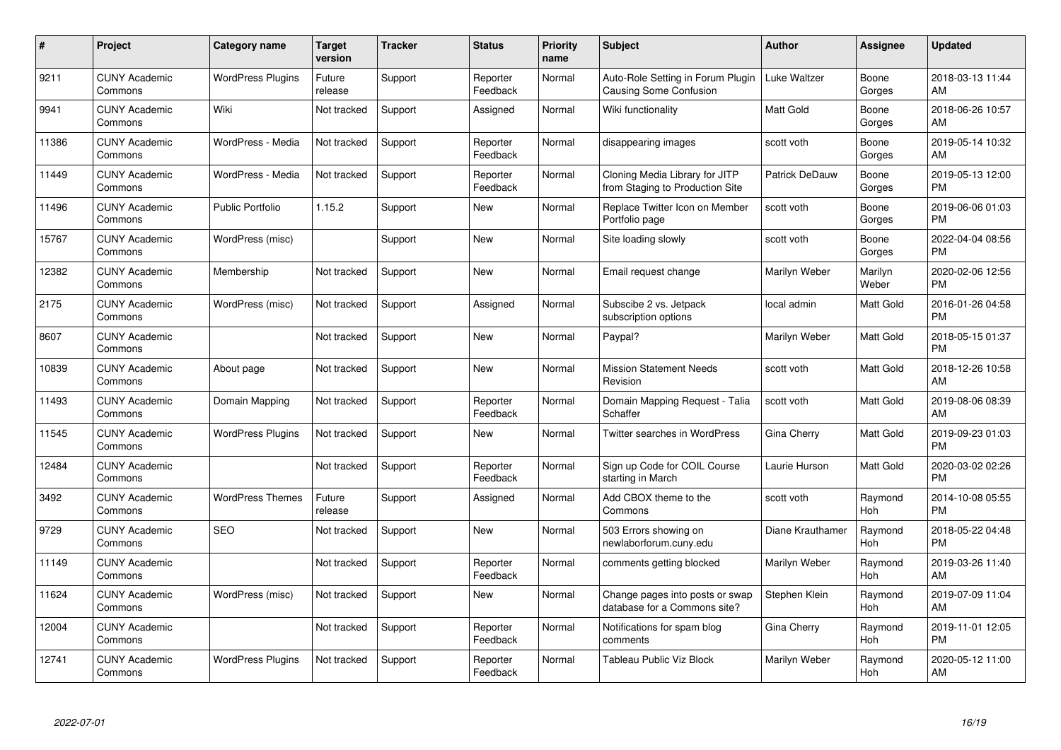| #     | Project                         | <b>Category name</b>     | Target<br>version | <b>Tracker</b> | <b>Status</b>        | Priority<br>name | <b>Subject</b>                                                    | <b>Author</b>         | <b>Assignee</b>  | <b>Updated</b>                |
|-------|---------------------------------|--------------------------|-------------------|----------------|----------------------|------------------|-------------------------------------------------------------------|-----------------------|------------------|-------------------------------|
| 9211  | <b>CUNY Academic</b><br>Commons | <b>WordPress Plugins</b> | Future<br>release | Support        | Reporter<br>Feedback | Normal           | Auto-Role Setting in Forum Plugin<br>Causing Some Confusion       | Luke Waltzer          | Boone<br>Gorges  | 2018-03-13 11:44<br><b>AM</b> |
| 9941  | <b>CUNY Academic</b><br>Commons | Wiki                     | Not tracked       | Support        | Assigned             | Normal           | Wiki functionality                                                | <b>Matt Gold</b>      | Boone<br>Gorges  | 2018-06-26 10:57<br>AM        |
| 11386 | <b>CUNY Academic</b><br>Commons | WordPress - Media        | Not tracked       | Support        | Reporter<br>Feedback | Normal           | disappearing images                                               | scott voth            | Boone<br>Gorges  | 2019-05-14 10:32<br>AM        |
| 11449 | <b>CUNY Academic</b><br>Commons | WordPress - Media        | Not tracked       | Support        | Reporter<br>Feedback | Normal           | Cloning Media Library for JITP<br>from Staging to Production Site | <b>Patrick DeDauw</b> | Boone<br>Gorges  | 2019-05-13 12:00<br><b>PM</b> |
| 11496 | <b>CUNY Academic</b><br>Commons | <b>Public Portfolio</b>  | 1.15.2            | Support        | <b>New</b>           | Normal           | Replace Twitter Icon on Member<br>Portfolio page                  | scott voth            | Boone<br>Gorges  | 2019-06-06 01:03<br><b>PM</b> |
| 15767 | <b>CUNY Academic</b><br>Commons | WordPress (misc)         |                   | Support        | <b>New</b>           | Normal           | Site loading slowly                                               | scott voth            | Boone<br>Gorges  | 2022-04-04 08:56<br><b>PM</b> |
| 12382 | <b>CUNY Academic</b><br>Commons | Membership               | Not tracked       | Support        | <b>New</b>           | Normal           | Email request change                                              | Marilyn Weber         | Marilyn<br>Weber | 2020-02-06 12:56<br><b>PM</b> |
| 2175  | <b>CUNY Academic</b><br>Commons | WordPress (misc)         | Not tracked       | Support        | Assigned             | Normal           | Subscibe 2 vs. Jetpack<br>subscription options                    | local admin           | Matt Gold        | 2016-01-26 04:58<br><b>PM</b> |
| 8607  | <b>CUNY Academic</b><br>Commons |                          | Not tracked       | Support        | New                  | Normal           | Paypal?                                                           | Marilyn Weber         | Matt Gold        | 2018-05-15 01:37<br><b>PM</b> |
| 10839 | <b>CUNY Academic</b><br>Commons | About page               | Not tracked       | Support        | <b>New</b>           | Normal           | <b>Mission Statement Needs</b><br>Revision                        | scott voth            | Matt Gold        | 2018-12-26 10:58<br>AM        |
| 11493 | <b>CUNY Academic</b><br>Commons | Domain Mapping           | Not tracked       | Support        | Reporter<br>Feedback | Normal           | Domain Mapping Request - Talia<br>Schaffer                        | scott voth            | Matt Gold        | 2019-08-06 08:39<br>AM        |
| 11545 | <b>CUNY Academic</b><br>Commons | <b>WordPress Plugins</b> | Not tracked       | Support        | New                  | Normal           | <b>Twitter searches in WordPress</b>                              | Gina Cherry           | Matt Gold        | 2019-09-23 01:03<br><b>PM</b> |
| 12484 | <b>CUNY Academic</b><br>Commons |                          | Not tracked       | Support        | Reporter<br>Feedback | Normal           | Sign up Code for COIL Course<br>starting in March                 | Laurie Hurson         | Matt Gold        | 2020-03-02 02:26<br><b>PM</b> |
| 3492  | <b>CUNY Academic</b><br>Commons | <b>WordPress Themes</b>  | Future<br>release | Support        | Assigned             | Normal           | Add CBOX theme to the<br>Commons                                  | scott voth            | Raymond<br>Hoh   | 2014-10-08 05:55<br><b>PM</b> |
| 9729  | <b>CUNY Academic</b><br>Commons | <b>SEO</b>               | Not tracked       | Support        | New                  | Normal           | 503 Errors showing on<br>newlaborforum.cuny.edu                   | Diane Krauthamer      | Raymond<br>Hoh   | 2018-05-22 04:48<br><b>PM</b> |
| 11149 | <b>CUNY Academic</b><br>Commons |                          | Not tracked       | Support        | Reporter<br>Feedback | Normal           | comments getting blocked                                          | Marilyn Weber         | Raymond<br>Hoh   | 2019-03-26 11:40<br>AM        |
| 11624 | <b>CUNY Academic</b><br>Commons | WordPress (misc)         | Not tracked       | Support        | New                  | Normal           | Change pages into posts or swap<br>database for a Commons site?   | Stephen Klein         | Raymond<br>Hoh   | 2019-07-09 11:04<br><b>AM</b> |
| 12004 | <b>CUNY Academic</b><br>Commons |                          | Not tracked       | Support        | Reporter<br>Feedback | Normal           | Notifications for spam blog<br>comments                           | Gina Cherry           | Raymond<br>Hoh   | 2019-11-01 12:05<br><b>PM</b> |
| 12741 | <b>CUNY Academic</b><br>Commons | <b>WordPress Plugins</b> | Not tracked       | Support        | Reporter<br>Feedback | Normal           | Tableau Public Viz Block                                          | Marilyn Weber         | Raymond<br>Hoh   | 2020-05-12 11:00<br>AM        |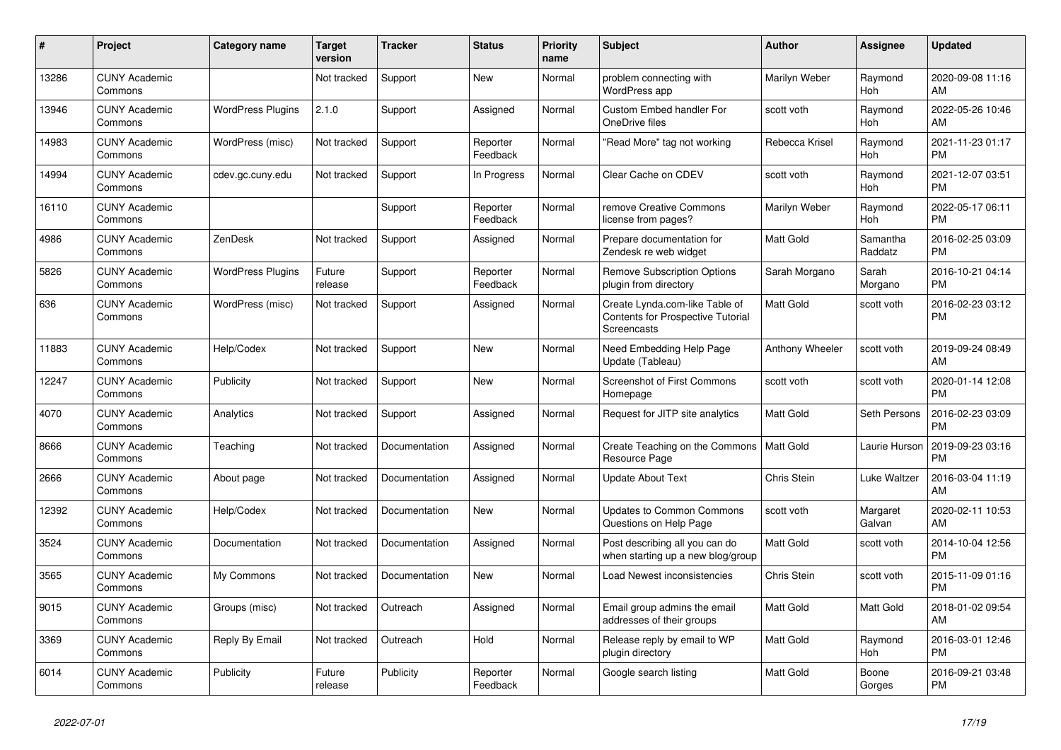| #     | Project                         | <b>Category name</b>     | <b>Target</b><br>version | <b>Tracker</b> | <b>Status</b>        | Priority<br>name | <b>Subject</b>                                                                                   | <b>Author</b>    | Assignee            | <b>Updated</b>                |
|-------|---------------------------------|--------------------------|--------------------------|----------------|----------------------|------------------|--------------------------------------------------------------------------------------------------|------------------|---------------------|-------------------------------|
| 13286 | <b>CUNY Academic</b><br>Commons |                          | Not tracked              | Support        | New                  | Normal           | problem connecting with<br>WordPress app                                                         | Marilyn Weber    | Raymond<br>Hoh      | 2020-09-08 11:16<br>AM        |
| 13946 | <b>CUNY Academic</b><br>Commons | <b>WordPress Plugins</b> | 2.1.0                    | Support        | Assigned             | Normal           | <b>Custom Embed handler For</b><br>OneDrive files                                                | scott voth       | Raymond<br>Hoh      | 2022-05-26 10:46<br>AM        |
| 14983 | <b>CUNY Academic</b><br>Commons | WordPress (misc)         | Not tracked              | Support        | Reporter<br>Feedback | Normal           | "Read More" tag not working                                                                      | Rebecca Krisel   | Raymond<br>Hoh      | 2021-11-23 01:17<br><b>PM</b> |
| 14994 | <b>CUNY Academic</b><br>Commons | cdev.gc.cuny.edu         | Not tracked              | Support        | In Progress          | Normal           | Clear Cache on CDEV                                                                              | scott voth       | Raymond<br>Hoh      | 2021-12-07 03:51<br><b>PM</b> |
| 16110 | <b>CUNY Academic</b><br>Commons |                          |                          | Support        | Reporter<br>Feedback | Normal           | remove Creative Commons<br>license from pages?                                                   | Marilyn Weber    | Raymond<br>Hoh      | 2022-05-17 06:11<br><b>PM</b> |
| 4986  | <b>CUNY Academic</b><br>Commons | ZenDesk                  | Not tracked              | Support        | Assigned             | Normal           | Prepare documentation for<br>Zendesk re web widget                                               | <b>Matt Gold</b> | Samantha<br>Raddatz | 2016-02-25 03:09<br><b>PM</b> |
| 5826  | <b>CUNY Academic</b><br>Commons | <b>WordPress Plugins</b> | Future<br>release        | Support        | Reporter<br>Feedback | Normal           | <b>Remove Subscription Options</b><br>plugin from directory                                      | Sarah Morgano    | Sarah<br>Morgano    | 2016-10-21 04:14<br><b>PM</b> |
| 636   | <b>CUNY Academic</b><br>Commons | WordPress (misc)         | Not tracked              | Support        | Assigned             | Normal           | Create Lynda.com-like Table of<br><b>Contents for Prospective Tutorial</b><br><b>Screencasts</b> | <b>Matt Gold</b> | scott voth          | 2016-02-23 03:12<br><b>PM</b> |
| 11883 | <b>CUNY Academic</b><br>Commons | Help/Codex               | Not tracked              | Support        | <b>New</b>           | Normal           | Need Embedding Help Page<br>Update (Tableau)                                                     | Anthony Wheeler  | scott voth          | 2019-09-24 08:49<br>AM        |
| 12247 | <b>CUNY Academic</b><br>Commons | Publicity                | Not tracked              | Support        | <b>New</b>           | Normal           | <b>Screenshot of First Commons</b><br>Homepage                                                   | scott voth       | scott voth          | 2020-01-14 12:08<br><b>PM</b> |
| 4070  | <b>CUNY Academic</b><br>Commons | Analytics                | Not tracked              | Support        | Assigned             | Normal           | Request for JITP site analytics                                                                  | Matt Gold        | Seth Persons        | 2016-02-23 03:09<br><b>PM</b> |
| 8666  | <b>CUNY Academic</b><br>Commons | Teaching                 | Not tracked              | Documentation  | Assigned             | Normal           | Create Teaching on the Commons<br>Resource Page                                                  | l Matt Gold      | Laurie Hurson       | 2019-09-23 03:16<br><b>PM</b> |
| 2666  | <b>CUNY Academic</b><br>Commons | About page               | Not tracked              | Documentation  | Assigned             | Normal           | <b>Update About Text</b>                                                                         | Chris Stein      | Luke Waltzer        | 2016-03-04 11:19<br>AM        |
| 12392 | <b>CUNY Academic</b><br>Commons | Help/Codex               | Not tracked              | Documentation  | New                  | Normal           | <b>Updates to Common Commons</b><br>Questions on Help Page                                       | scott voth       | Margaret<br>Galvan  | 2020-02-11 10:53<br>AM        |
| 3524  | <b>CUNY Academic</b><br>Commons | Documentation            | Not tracked              | Documentation  | Assigned             | Normal           | Post describing all you can do<br>when starting up a new blog/group                              | Matt Gold        | scott voth          | 2014-10-04 12:56<br><b>PM</b> |
| 3565  | <b>CUNY Academic</b><br>Commons | My Commons               | Not tracked              | Documentation  | New                  | Normal           | Load Newest inconsistencies                                                                      | Chris Stein      | scott voth          | 2015-11-09 01:16<br><b>PM</b> |
| 9015  | <b>CUNY Academic</b><br>Commons | Groups (misc)            | Not tracked              | Outreach       | Assigned             | Normal           | Email group admins the email<br>addresses of their groups                                        | <b>Matt Gold</b> | Matt Gold           | 2018-01-02 09:54<br>AM        |
| 3369  | <b>CUNY Academic</b><br>Commons | Reply By Email           | Not tracked              | Outreach       | Hold                 | Normal           | Release reply by email to WP<br>plugin directory                                                 | <b>Matt Gold</b> | Raymond<br>Hoh      | 2016-03-01 12:46<br><b>PM</b> |
| 6014  | <b>CUNY Academic</b><br>Commons | Publicity                | Future<br>release        | Publicity      | Reporter<br>Feedback | Normal           | Google search listing                                                                            | <b>Matt Gold</b> | Boone<br>Gorges     | 2016-09-21 03:48<br><b>PM</b> |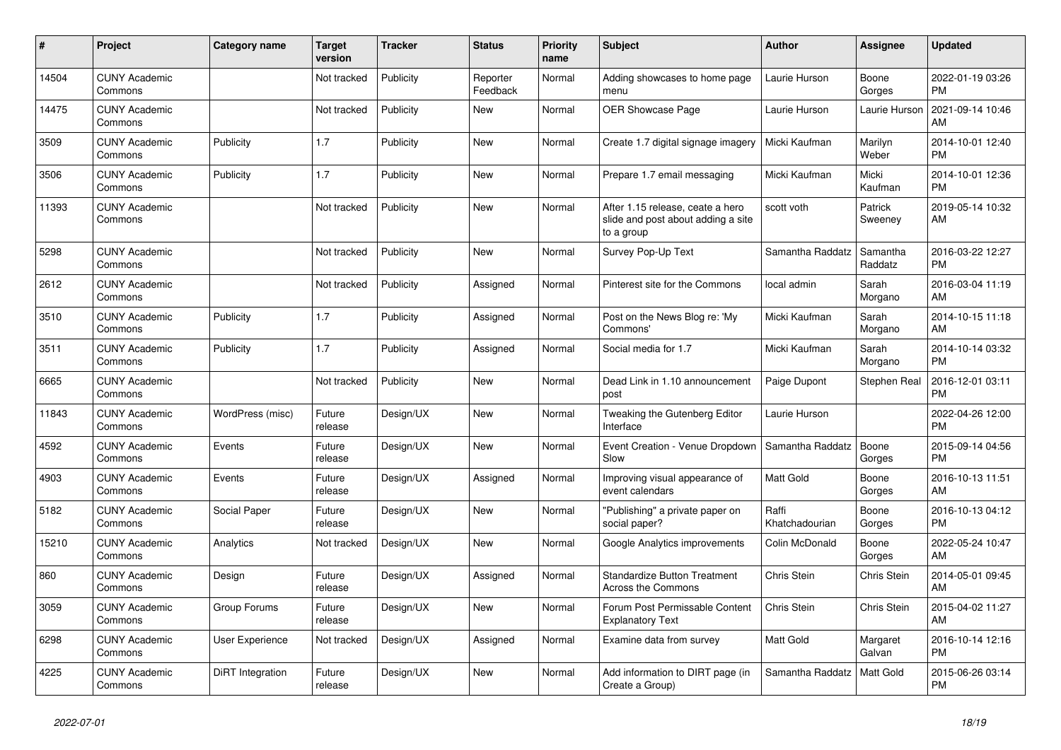| #     | Project                         | <b>Category name</b> | <b>Target</b><br>version | <b>Tracker</b> | <b>Status</b>        | <b>Priority</b><br>name | <b>Subject</b>                                                                       | <b>Author</b>           | Assignee            | <b>Updated</b>                |
|-------|---------------------------------|----------------------|--------------------------|----------------|----------------------|-------------------------|--------------------------------------------------------------------------------------|-------------------------|---------------------|-------------------------------|
| 14504 | <b>CUNY Academic</b><br>Commons |                      | Not tracked              | Publicity      | Reporter<br>Feedback | Normal                  | Adding showcases to home page<br>menu                                                | Laurie Hurson           | Boone<br>Gorges     | 2022-01-19 03:26<br><b>PM</b> |
| 14475 | <b>CUNY Academic</b><br>Commons |                      | Not tracked              | Publicity      | <b>New</b>           | Normal                  | OER Showcase Page                                                                    | Laurie Hurson           | Laurie Hurson       | 2021-09-14 10:46<br>AM        |
| 3509  | <b>CUNY Academic</b><br>Commons | Publicity            | 1.7                      | Publicity      | <b>New</b>           | Normal                  | Create 1.7 digital signage imagery                                                   | Micki Kaufman           | Marilyn<br>Weber    | 2014-10-01 12:40<br><b>PM</b> |
| 3506  | <b>CUNY Academic</b><br>Commons | Publicity            | 1.7                      | Publicity      | <b>New</b>           | Normal                  | Prepare 1.7 email messaging                                                          | Micki Kaufman           | Micki<br>Kaufman    | 2014-10-01 12:36<br><b>PM</b> |
| 11393 | <b>CUNY Academic</b><br>Commons |                      | Not tracked              | Publicity      | <b>New</b>           | Normal                  | After 1.15 release, ceate a hero<br>slide and post about adding a site<br>to a group | scott voth              | Patrick<br>Sweeney  | 2019-05-14 10:32<br>AM        |
| 5298  | <b>CUNY Academic</b><br>Commons |                      | Not tracked              | Publicity      | <b>New</b>           | Normal                  | Survey Pop-Up Text                                                                   | Samantha Raddatz        | Samantha<br>Raddatz | 2016-03-22 12:27<br><b>PM</b> |
| 2612  | <b>CUNY Academic</b><br>Commons |                      | Not tracked              | Publicity      | Assigned             | Normal                  | Pinterest site for the Commons                                                       | local admin             | Sarah<br>Morgano    | 2016-03-04 11:19<br>AM        |
| 3510  | <b>CUNY Academic</b><br>Commons | Publicity            | 1.7                      | Publicity      | Assigned             | Normal                  | Post on the News Blog re: 'My<br>Commons'                                            | Micki Kaufman           | Sarah<br>Morgano    | 2014-10-15 11:18<br>AM        |
| 3511  | <b>CUNY Academic</b><br>Commons | Publicity            | 1.7                      | Publicity      | Assigned             | Normal                  | Social media for 1.7                                                                 | Micki Kaufman           | Sarah<br>Morgano    | 2014-10-14 03:32<br><b>PM</b> |
| 6665  | <b>CUNY Academic</b><br>Commons |                      | Not tracked              | Publicity      | <b>New</b>           | Normal                  | Dead Link in 1.10 announcement<br>post                                               | Paige Dupont            | <b>Stephen Real</b> | 2016-12-01 03:11<br><b>PM</b> |
| 11843 | <b>CUNY Academic</b><br>Commons | WordPress (misc)     | Future<br>release        | Design/UX      | <b>New</b>           | Normal                  | Tweaking the Gutenberg Editor<br>Interface                                           | Laurie Hurson           |                     | 2022-04-26 12:00<br><b>PM</b> |
| 4592  | <b>CUNY Academic</b><br>Commons | Events               | Future<br>release        | Design/UX      | New                  | Normal                  | Event Creation - Venue Dropdown<br>Slow                                              | Samantha Raddatz        | Boone<br>Gorges     | 2015-09-14 04:56<br><b>PM</b> |
| 4903  | <b>CUNY Academic</b><br>Commons | Events               | Future<br>release        | Design/UX      | Assigned             | Normal                  | Improving visual appearance of<br>event calendars                                    | <b>Matt Gold</b>        | Boone<br>Gorges     | 2016-10-13 11:51<br>AM        |
| 5182  | <b>CUNY Academic</b><br>Commons | Social Paper         | Future<br>release        | Design/UX      | <b>New</b>           | Normal                  | "Publishing" a private paper on<br>social paper?                                     | Raffi<br>Khatchadourian | Boone<br>Gorges     | 2016-10-13 04:12<br><b>PM</b> |
| 15210 | <b>CUNY Academic</b><br>Commons | Analytics            | Not tracked              | Design/UX      | <b>New</b>           | Normal                  | Google Analytics improvements                                                        | Colin McDonald          | Boone<br>Gorges     | 2022-05-24 10:47<br>AM        |
| 860   | <b>CUNY Academic</b><br>Commons | Design               | Future<br>release        | Design/UX      | Assigned             | Normal                  | <b>Standardize Button Treatment</b><br><b>Across the Commons</b>                     | Chris Stein             | Chris Stein         | 2014-05-01 09:45<br>AM        |
| 3059  | <b>CUNY Academic</b><br>Commons | Group Forums         | Future<br>release        | Design/UX      | <b>New</b>           | Normal                  | Forum Post Permissable Content<br><b>Explanatory Text</b>                            | Chris Stein             | Chris Stein         | 2015-04-02 11:27<br>AM        |
| 6298  | <b>CUNY Academic</b><br>Commons | User Experience      | Not tracked              | Design/UX      | Assigned             | Normal                  | Examine data from survey                                                             | <b>Matt Gold</b>        | Margaret<br>Galvan  | 2016-10-14 12:16<br><b>PM</b> |
| 4225  | <b>CUNY Academic</b><br>Commons | DiRT Integration     | Future<br>release        | Design/UX      | <b>New</b>           | Normal                  | Add information to DIRT page (in<br>Create a Group)                                  | Samantha Raddatz        | Matt Gold           | 2015-06-26 03:14<br><b>PM</b> |